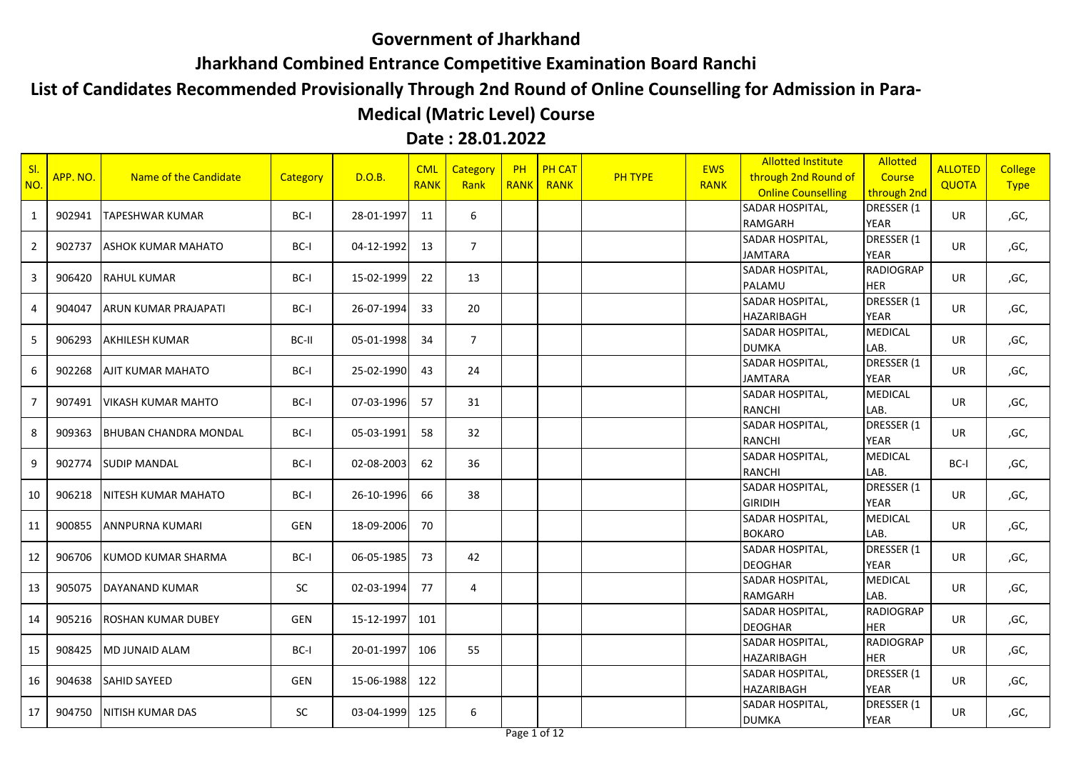## **Government of Jharkhand**

**Jharkhand Combined Entrance Competitive Examination Board Ranchi** 

## **List of Candidates Recommended Provisionally Through 2nd Round of Online Counselling for Admission in Para-**

## **Medical (Matric Level) Course**

## **Date : 28.01.2022**

| SI<br>NO.      | APP. NO. | Name of the Candidate        | Category  | D.O.B.     | <b>CML</b><br><b>RANK</b> | <b>Category</b><br>Rank | PH<br><b>RANK</b> | <b>PH CAT</b><br><b>RANK</b> | <b>PH TYPE</b> | <b>EWS</b><br><b>RANK</b> | <b>Allotted Institute</b><br>through 2nd Round of<br><b>Online Counselling</b> | <b>Allotted</b><br>Course<br>through 2nd | <b>ALLOTED</b><br><b>QUOTA</b> | <b>College</b><br><b>Type</b> |
|----------------|----------|------------------------------|-----------|------------|---------------------------|-------------------------|-------------------|------------------------------|----------------|---------------------------|--------------------------------------------------------------------------------|------------------------------------------|--------------------------------|-------------------------------|
| 1              | 902941   | <b>TAPESHWAR KUMAR</b>       | BC-I      | 28-01-1997 | 11                        | 6                       |                   |                              |                |                           | SADAR HOSPITAL,<br>RAMGARH                                                     | DRESSER (1<br><b>YEAR</b>                | <b>UR</b>                      | ,GC,                          |
| $\overline{2}$ | 902737   | <b>ASHOK KUMAR MAHATO</b>    | BC-I      | 04-12-1992 | 13                        | $\overline{7}$          |                   |                              |                |                           | SADAR HOSPITAL,<br><b>JAMTARA</b>                                              | DRESSER (1<br><b>YEAR</b>                | <b>UR</b>                      | ,GC,                          |
| $\overline{3}$ | 906420   | <b>RAHUL KUMAR</b>           | BC-I      | 15-02-1999 | 22                        | 13                      |                   |                              |                |                           | SADAR HOSPITAL,<br>PALAMU                                                      | <b>RADIOGRAP</b><br>HER                  | <b>UR</b>                      | ,GC,                          |
| 4              | 904047   | ARUN KUMAR PRAJAPATI         | $BC-I$    | 26-07-1994 | 33                        | 20                      |                   |                              |                |                           | SADAR HOSPITAL,<br><b>HAZARIBAGH</b>                                           | DRESSER (1<br><b>YEAR</b>                | UR.                            | ,GC,                          |
| -5             | 906293   | <b>AKHILESH KUMAR</b>        | BC-II     | 05-01-1998 | 34                        | $\overline{7}$          |                   |                              |                |                           | <b>SADAR HOSPITAL,</b><br><b>DUMKA</b>                                         | <b>MEDICAL</b><br>LAB.                   | <b>UR</b>                      | ,GC,                          |
| 6              | 902268   | <b>AJIT KUMAR MAHATO</b>     | $BC-I$    | 25-02-1990 | 43                        | 24                      |                   |                              |                |                           | SADAR HOSPITAL,<br><b>JAMTARA</b>                                              | DRESSER (1<br><b>YEAR</b>                | UR.                            | ,GC,                          |
| $\overline{7}$ | 907491   | <b>VIKASH KUMAR MAHTO</b>    | BC-I      | 07-03-1996 | 57                        | 31                      |                   |                              |                |                           | SADAR HOSPITAL,<br><b>RANCHI</b>                                               | <b>MEDICAL</b><br>LAB.                   | <b>UR</b>                      | ,GC,                          |
| 8              | 909363   | <b>BHUBAN CHANDRA MONDAL</b> | $BC-I$    | 05-03-1991 | 58                        | 32                      |                   |                              |                |                           | SADAR HOSPITAL,<br><b>RANCHI</b>                                               | DRESSER (1<br><b>YEAR</b>                | <b>UR</b>                      | ,GC,                          |
| 9              | 902774   | <b>SUDIP MANDAL</b>          | BC-I      | 02-08-2003 | 62                        | 36                      |                   |                              |                |                           | SADAR HOSPITAL,<br><b>RANCHI</b>                                               | <b>MEDICAL</b><br>LAB.                   | BC-I                           | ,GC,                          |
| 10             | 906218   | NITESH KUMAR MAHATO          | BC-I      | 26-10-1996 | 66                        | 38                      |                   |                              |                |                           | SADAR HOSPITAL,<br><b>GIRIDIH</b>                                              | DRESSER (1<br><b>YEAR</b>                | UR                             | ,GC,                          |
| 11             | 900855   | ANNPURNA KUMARI              | GEN       | 18-09-2006 | 70                        |                         |                   |                              |                |                           | SADAR HOSPITAL,<br><b>BOKARO</b>                                               | <b>MEDICAL</b><br>LAB.                   | <b>UR</b>                      | ,GC,                          |
| 12             | 906706   | KUMOD KUMAR SHARMA           | BC-I      | 06-05-1985 | 73                        | 42                      |                   |                              |                |                           | SADAR HOSPITAL,<br><b>DEOGHAR</b>                                              | DRESSER (1<br><b>YEAR</b>                | UR                             | ,GC,                          |
| 13             | 905075   | DAYANAND KUMAR               | <b>SC</b> | 02-03-1994 | 77                        | 4                       |                   |                              |                |                           | SADAR HOSPITAL,<br><b>RAMGARH</b>                                              | <b>MEDICAL</b><br>LAB.                   | <b>UR</b>                      | ,GC,                          |
| 14             | 905216   | ROSHAN KUMAR DUBEY           | GEN       | 15-12-1997 | 101                       |                         |                   |                              |                |                           | SADAR HOSPITAL,<br><b>DEOGHAR</b>                                              | <b>RADIOGRAP</b><br><b>HER</b>           | UR                             | ,GC,                          |
| 15             | 908425   | <b>MD JUNAID ALAM</b>        | BC-I      | 20-01-1997 | 106                       | 55                      |                   |                              |                |                           | SADAR HOSPITAL,<br><b>HAZARIBAGH</b>                                           | <b>RADIOGRAP</b><br><b>HER</b>           | <b>UR</b>                      | ,GC,                          |
| 16             | 904638   | <b>SAHID SAYEED</b>          | GEN       | 15-06-1988 | 122                       |                         |                   |                              |                |                           | SADAR HOSPITAL,<br><b>HAZARIBAGH</b>                                           | DRESSER (1<br><b>YEAR</b>                | UR                             | ,GC,                          |
| 17             | 904750   | <b>INITISH KUMAR DAS</b>     | SC        | 03-04-1999 | 125                       | 6                       |                   |                              |                |                           | SADAR HOSPITAL,<br><b>DUMKA</b>                                                | DRESSER (1<br><b>YEAR</b>                | UR                             | ,GC,                          |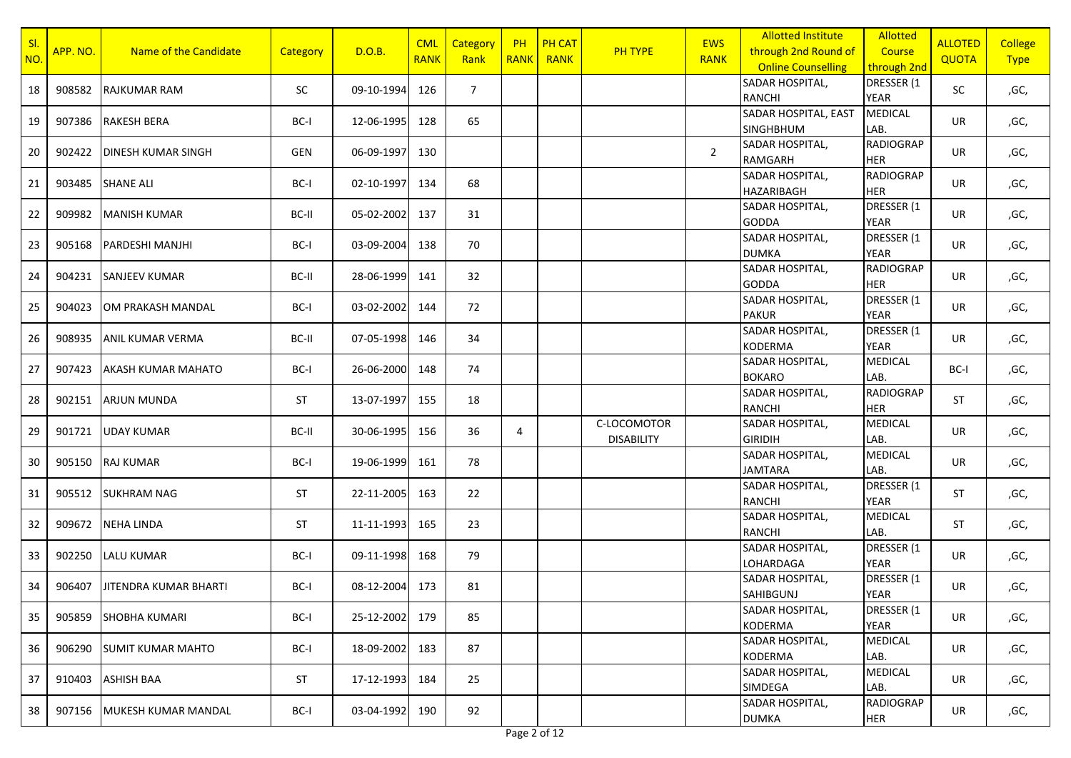| SI.<br>NO. | APP. NO. | Name of the Candidate        | Category  | D.O.B.     | <b>CML</b><br><b>RANK</b> | Category<br>Rank | <b>PH</b><br><b>RANK</b> | <b>PH CAT</b><br><b>RANK</b> | <b>PH TYPE</b>                   | <b>EWS</b><br><b>RANK</b> | <b>Allotted Institute</b><br>through 2nd Round of<br><b>Online Counselling</b> | <b>Allotted</b><br>Course<br>through 2nd | <b>ALLOTED</b><br><b>QUOTA</b> | <b>College</b><br><b>Type</b> |
|------------|----------|------------------------------|-----------|------------|---------------------------|------------------|--------------------------|------------------------------|----------------------------------|---------------------------|--------------------------------------------------------------------------------|------------------------------------------|--------------------------------|-------------------------------|
| 18         | 908582   | <b>RAJKUMAR RAM</b>          | <b>SC</b> | 09-10-1994 | 126                       | $7^{\circ}$      |                          |                              |                                  |                           | SADAR HOSPITAL,<br><b>RANCHI</b>                                               | DRESSER (1<br><b>YEAR</b>                | SC                             | ,GC,                          |
| 19         | 907386   | <b>RAKESH BERA</b>           | BC-I      | 12-06-1995 | 128                       | 65               |                          |                              |                                  |                           | SADAR HOSPITAL, EAST<br><b>SINGHBHUM</b>                                       | <b>MEDICAL</b><br>LAB.                   | UR                             | ,GC,                          |
| 20         | 902422   | <b>DINESH KUMAR SINGH</b>    | GEN       | 06-09-1997 | 130                       |                  |                          |                              |                                  | $\overline{2}$            | SADAR HOSPITAL,<br><b>RAMGARH</b>                                              | <b>RADIOGRAP</b><br><b>HER</b>           | <b>UR</b>                      | ,GC,                          |
| 21         | 903485   | <b>SHANE ALI</b>             | BC-I      | 02-10-1997 | 134                       | 68               |                          |                              |                                  |                           | SADAR HOSPITAL,<br>HAZARIBAGH                                                  | <b>RADIOGRAP</b><br><b>HER</b>           | UR                             | ,GC,                          |
| 22         | 909982   | <b>MANISH KUMAR</b>          | BC-II     | 05-02-2002 | 137                       | 31               |                          |                              |                                  |                           | SADAR HOSPITAL,<br><b>GODDA</b>                                                | DRESSER (1<br><b>YEAR</b>                | UR                             | ,GC,                          |
| 23         | 905168   | PARDESHI MANJHI              | BC-I      | 03-09-2004 | 138                       | 70               |                          |                              |                                  |                           | SADAR HOSPITAL,<br><b>DUMKA</b>                                                | DRESSER (1<br><b>YEAR</b>                | UR                             | ,GC,                          |
| 24         | 904231   | <b>SANJEEV KUMAR</b>         | BC-II     | 28-06-1999 | 141                       | 32               |                          |                              |                                  |                           | SADAR HOSPITAL,<br><b>GODDA</b>                                                | <b>RADIOGRAP</b><br><b>HER</b>           | UR                             | ,GC,                          |
| 25         | 904023   | OM PRAKASH MANDAL            | BC-I      | 03-02-2002 | 144                       | 72               |                          |                              |                                  |                           | SADAR HOSPITAL,<br><b>PAKUR</b>                                                | DRESSER (1<br><b>YEAR</b>                | <b>UR</b>                      | ,GC,                          |
| 26         | 908935   | <b>ANIL KUMAR VERMA</b>      | BC-II     | 07-05-1998 | 146                       | 34               |                          |                              |                                  |                           | SADAR HOSPITAL,<br><b>KODERMA</b>                                              | DRESSER (1<br><b>YEAR</b>                | UR                             | ,GC,                          |
| 27         | 907423   | <b>AKASH KUMAR MAHATO</b>    | BC-I      | 26-06-2000 | 148                       | 74               |                          |                              |                                  |                           | SADAR HOSPITAL,<br><b>BOKARO</b>                                               | <b>MEDICAL</b><br>LAB.                   | BC-I                           | ,GC,                          |
| 28         | 902151   | <b>ARJUN MUNDA</b>           | <b>ST</b> | 13-07-1997 | 155                       | 18               |                          |                              |                                  |                           | SADAR HOSPITAL,<br>RANCHI                                                      | <b>RADIOGRAP</b><br><b>HER</b>           | ST                             | ,GC,                          |
| 29         | 901721   | <b>UDAY KUMAR</b>            | BC-II     | 30-06-1995 | 156                       | 36               | $\overline{4}$           |                              | C-LOCOMOTOR<br><b>DISABILITY</b> |                           | SADAR HOSPITAL,<br><b>GIRIDIH</b>                                              | <b>MEDICAL</b><br>LAB.                   | <b>UR</b>                      | ,GC,                          |
| 30         | 905150   | <b>RAJ KUMAR</b>             | BC-I      | 19-06-1999 | 161                       | 78               |                          |                              |                                  |                           | SADAR HOSPITAL,<br><b>JAMTARA</b>                                              | <b>MEDICAL</b><br>LAB.                   | UR                             | ,GC,                          |
| 31         | 905512   | <b>SUKHRAM NAG</b>           | <b>ST</b> | 22-11-2005 | 163                       | 22               |                          |                              |                                  |                           | SADAR HOSPITAL,<br><b>RANCHI</b>                                               | DRESSER (1<br><b>YEAR</b>                | ST                             | ,GC,                          |
| 32         | 909672   | <b>NEHA LINDA</b>            | <b>ST</b> | 11-11-1993 | 165                       | 23               |                          |                              |                                  |                           | SADAR HOSPITAL,<br><b>RANCHI</b>                                               | <b>MEDICAL</b><br>LAB.                   | <b>ST</b>                      | ,GC,                          |
| 33         | 902250   | <b>LALU KUMAR</b>            | BC-I      | 09-11-1998 | 168                       | 79               |                          |                              |                                  |                           | SADAR HOSPITAL,<br>LOHARDAGA                                                   | DRESSER (1<br><b>YEAR</b>                | <b>UR</b>                      | ,GC,                          |
| 34         | 906407   | <b>JITENDRA KUMAR BHARTI</b> | BC-I      | 08-12-2004 | 173                       | 81               |                          |                              |                                  |                           | SADAR HOSPITAL,<br><b>SAHIBGUNJ</b>                                            | DRESSER (1<br><b>YEAR</b>                | <b>UR</b>                      | ,GC,                          |
| 35         | 905859   | <b>SHOBHA KUMARI</b>         | BC-I      | 25-12-2002 | 179                       | 85               |                          |                              |                                  |                           | SADAR HOSPITAL,<br><b>KODERMA</b>                                              | DRESSER (1<br>YEAR                       | UR                             | ,GC,                          |
| 36         | 906290   | SUMIT KUMAR MAHTO            | BC-I      | 18-09-2002 | 183                       | 87               |                          |                              |                                  |                           | <b>SADAR HOSPITAL,</b><br><b>KODERMA</b>                                       | <b>MEDICAL</b><br>LAB.                   | UR                             | ,GC,                          |
| 37         | 910403   | <b>ASHISH BAA</b>            | ST        | 17-12-1993 | 184                       | 25               |                          |                              |                                  |                           | SADAR HOSPITAL,<br>SIMDEGA                                                     | <b>MEDICAL</b><br>LAB.                   | UR                             | ,GC,                          |
| 38         | 907156   | MUKESH KUMAR MANDAL          | BC-I      | 03-04-1992 | 190                       | 92               |                          |                              |                                  |                           | SADAR HOSPITAL,<br><b>DUMKA</b>                                                | <b>RADIOGRAP</b><br><b>HER</b>           | UR                             | ,GC,                          |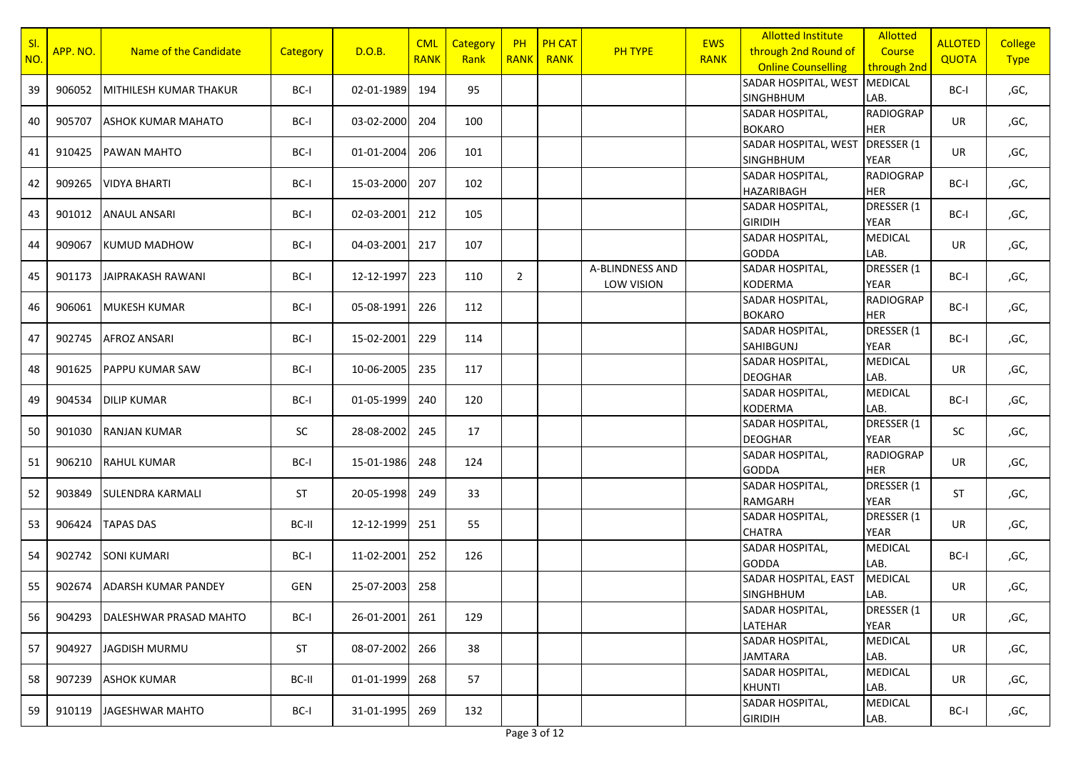| SI<br><b>NO</b> | APP. NO. | Name of the Candidate      | Category  | D.O.B.     | <b>CML</b><br><b>RANK</b> | <b>Category</b><br>Rank | <b>PH</b>      | <b>PH CAT</b><br>RANK RANK | <b>PH TYPE</b>                | <b>EWS</b><br><b>RANK</b> | <b>Allotted Institute</b><br>through 2nd Round of<br><b>Online Counselling</b> | <b>Allotted</b><br>Course<br>through 2nd | <b>ALLOTED</b><br><b>QUOTA</b> | <b>College</b><br><b>Type</b> |
|-----------------|----------|----------------------------|-----------|------------|---------------------------|-------------------------|----------------|----------------------------|-------------------------------|---------------------------|--------------------------------------------------------------------------------|------------------------------------------|--------------------------------|-------------------------------|
| 39              | 906052   | MITHILESH KUMAR THAKUR     | BC-I      | 02-01-1989 | 194                       | 95                      |                |                            |                               |                           | SADAR HOSPITAL, WEST<br><b>SINGHBHUM</b>                                       | <b>MEDICAL</b><br>LAB.                   | BC-I                           | ,GC,                          |
| 40              | 905707   | <b>ASHOK KUMAR MAHATO</b>  | BC-I      | 03-02-2000 | 204                       | 100                     |                |                            |                               |                           | SADAR HOSPITAL,<br><b>BOKARO</b>                                               | <b>RADIOGRAP</b><br>HER                  | <b>UR</b>                      | ,GC,                          |
| 41              | 910425   | <b>PAWAN MAHTO</b>         | BC-I      | 01-01-2004 | 206                       | 101                     |                |                            |                               |                           | SADAR HOSPITAL, WEST<br><b>SINGHBHUM</b>                                       | DRESSER (1<br>YEAR                       | <b>UR</b>                      | ,GC,                          |
| 42              | 909265   | <b>VIDYA BHARTI</b>        | BC-I      | 15-03-2000 | 207                       | 102                     |                |                            |                               |                           | <b>SADAR HOSPITAL,</b><br><b>HAZARIBAGH</b>                                    | <b>RADIOGRAP</b><br><b>HER</b>           | BC-I                           | ,GC,                          |
| 43              | 901012   | <b>ANAUL ANSARI</b>        | BC-I      | 02-03-2001 | 212                       | 105                     |                |                            |                               |                           | SADAR HOSPITAL,<br><b>GIRIDIH</b>                                              | DRESSER (1<br>YEAR                       | BC-I                           | ,GC,                          |
| 44              | 909067   | KUMUD MADHOW               | BC-I      | 04-03-2001 | 217                       | 107                     |                |                            |                               |                           | SADAR HOSPITAL,<br><b>GODDA</b>                                                | MEDICAL<br>LAB.                          | UR                             | ,GC,                          |
| 45              | 901173   | JAIPRAKASH RAWANI          | BC-I      | 12-12-1997 | 223                       | 110                     | $\overline{2}$ |                            | A-BLINDNESS AND<br>LOW VISION |                           | SADAR HOSPITAL,<br><b>KODERMA</b>                                              | DRESSER (1<br><b>YEAR</b>                | BC-I                           | ,GC,                          |
| 46              | 906061   | <b>MUKESH KUMAR</b>        | BC-I      | 05-08-1991 | 226                       | 112                     |                |                            |                               |                           | SADAR HOSPITAL,<br><b>BOKARO</b>                                               | <b>RADIOGRAP</b><br><b>HER</b>           | BC-I                           | ,GC,                          |
| 47              | 902745   | <b>AFROZ ANSARI</b>        | BC-I      | 15-02-2001 | 229                       | 114                     |                |                            |                               |                           | SADAR HOSPITAL,<br><b>SAHIBGUNJ</b>                                            | DRESSER (1<br><b>YEAR</b>                | BC-I                           | ,GC,                          |
| 48              | 901625   | <b>PAPPU KUMAR SAW</b>     | BC-I      | 10-06-2005 | 235                       | 117                     |                |                            |                               |                           | SADAR HOSPITAL,<br><b>DEOGHAR</b>                                              | <b>MEDICAL</b><br>LAB.                   | UR                             | ,GC,                          |
| 49              | 904534   | <b>DILIP KUMAR</b>         | BC-I      | 01-05-1999 | 240                       | 120                     |                |                            |                               |                           | SADAR HOSPITAL,<br><b>KODERMA</b>                                              | <b>MEDICAL</b><br>LAB.                   | BC-I                           | ,GC,                          |
| 50              | 901030   | <b>RANJAN KUMAR</b>        | <b>SC</b> | 28-08-2002 | 245                       | 17                      |                |                            |                               |                           | SADAR HOSPITAL,<br><b>DEOGHAR</b>                                              | DRESSER (1<br>YEAR                       | SC                             | ,GC,                          |
| 51              | 906210   | <b>RAHUL KUMAR</b>         | BC-I      | 15-01-1986 | 248                       | 124                     |                |                            |                               |                           | SADAR HOSPITAL,<br><b>GODDA</b>                                                | <b>RADIOGRAP</b><br><b>HER</b>           | <b>UR</b>                      | ,GC,                          |
| 52              | 903849   | <b>SULENDRA KARMALI</b>    | <b>ST</b> | 20-05-1998 | 249                       | 33                      |                |                            |                               |                           | SADAR HOSPITAL,<br>RAMGARH                                                     | DRESSER (1<br><b>YEAR</b>                | ST                             | ,GC,                          |
| 53              | 906424   | <b>TAPAS DAS</b>           | BC-II     | 12-12-1999 | 251                       | 55                      |                |                            |                               |                           | SADAR HOSPITAL,<br><b>CHATRA</b>                                               | DRESSER (1<br><b>YEAR</b>                | <b>UR</b>                      | ,GC,                          |
| 54              | 902742   | <b>SONI KUMARI</b>         | BC-I      | 11-02-2001 | 252                       | 126                     |                |                            |                               |                           | SADAR HOSPITAL,<br><b>GODDA</b>                                                | MEDICAL<br>LAB.                          | BC-I                           | ,GC,                          |
| 55              | 902674   | <b>ADARSH KUMAR PANDEY</b> | GEN       | 25-07-2003 | 258                       |                         |                |                            |                               |                           | SADAR HOSPITAL, EAST<br><b>SINGHBHUM</b>                                       | MEDICAL<br>LAB.                          | UR                             | ,GC,                          |
| 56              | 904293   | DALESHWAR PRASAD MAHTO     | BC-I      | 26-01-2001 | 261                       | 129                     |                |                            |                               |                           | SADAR HOSPITAL,<br>LATEHAR                                                     | DRESSER (1<br>YEAR                       | <b>UR</b>                      | ,GC,                          |
| 57              | 904927   | JAGDISH MURMU              | ST        | 08-07-2002 | 266                       | 38                      |                |                            |                               |                           | SADAR HOSPITAL,<br><b>JAMTARA</b>                                              | <b>MEDICAL</b><br>LAB.                   | UR                             | ,GC,                          |
| 58              | 907239   | <b>ASHOK KUMAR</b>         | BC-II     | 01-01-1999 | 268                       | 57                      |                |                            |                               |                           | SADAR HOSPITAL,<br><b>KHUNTI</b>                                               | <b>MEDICAL</b><br>LAB.                   | UR                             | ,GC,                          |
| 59              | 910119   | JAGESHWAR MAHTO            | BC-I      | 31-01-1995 | 269                       | 132                     |                |                            |                               |                           | SADAR HOSPITAL,<br><b>GIRIDIH</b>                                              | MEDICAL<br>LAB.                          | BC-I                           | ,GC,                          |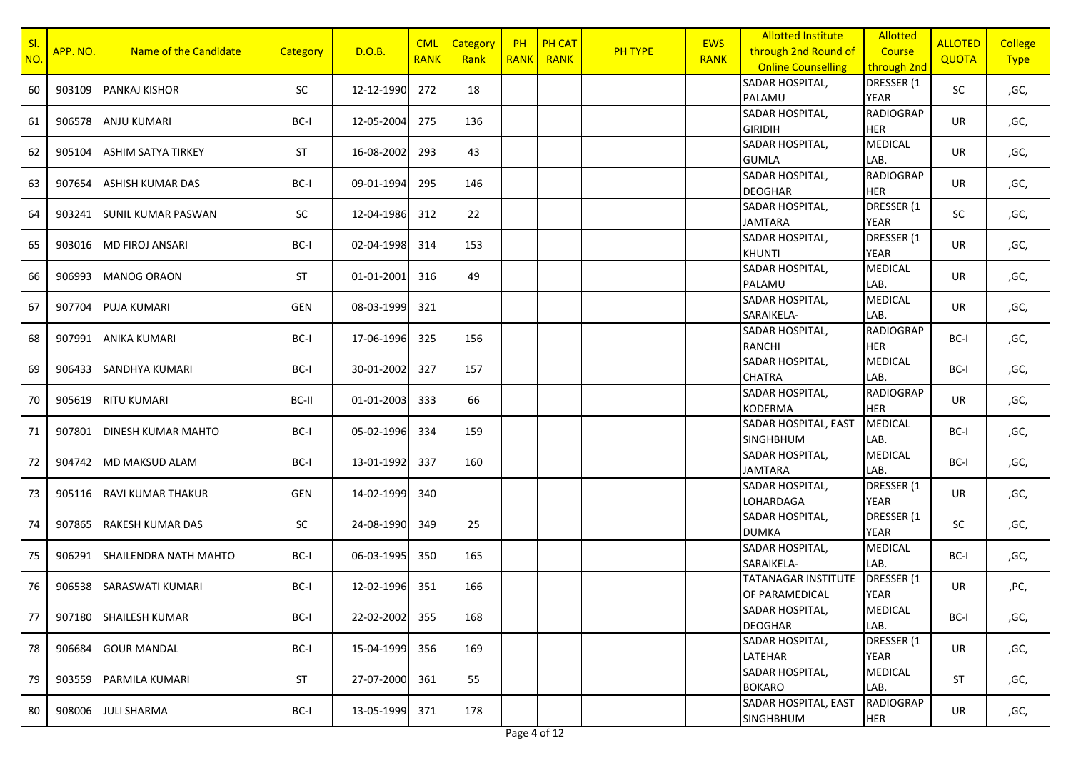| SI.<br>NO. | APP. NO. | Name of the Candidate        | Category  | D.O.B.     | <b>CML</b><br><b>RANK</b> | Category<br>Rank | <b>PH</b><br><b>RANK</b> | <b>PH CAT</b><br><b>RANK</b> | <b>PH TYPE</b> | <b>EWS</b><br><b>RANK</b> | <b>Allotted Institute</b><br>through 2nd Round of<br><b>Online Counselling</b> | <b>Allotted</b><br>Course<br>through 2nd | <b>ALLOTED</b><br><b>QUOTA</b> | <b>College</b><br><b>Type</b> |
|------------|----------|------------------------------|-----------|------------|---------------------------|------------------|--------------------------|------------------------------|----------------|---------------------------|--------------------------------------------------------------------------------|------------------------------------------|--------------------------------|-------------------------------|
| 60         | 903109   | <b>PANKAJ KISHOR</b>         | <b>SC</b> | 12-12-1990 | 272                       | 18               |                          |                              |                |                           | SADAR HOSPITAL,<br>PALAMU                                                      | DRESSER (1<br><b>YEAR</b>                | SC                             | ,GC,                          |
| 61         | 906578   | <b>ANJU KUMARI</b>           | BC-I      | 12-05-2004 | 275                       | 136              |                          |                              |                |                           | SADAR HOSPITAL,<br><b>GIRIDIH</b>                                              | <b>RADIOGRAP</b><br><b>HER</b>           | UR                             | ,GC,                          |
| 62         | 905104   | <b>ASHIM SATYA TIRKEY</b>    | <b>ST</b> | 16-08-2002 | 293                       | 43               |                          |                              |                |                           | SADAR HOSPITAL,<br><b>GUMLA</b>                                                | <b>MEDICAL</b><br>LAB.                   | <b>UR</b>                      | ,GC,                          |
| 63         | 907654   | IASHISH KUMAR DAS            | BC-I      | 09-01-1994 | 295                       | 146              |                          |                              |                |                           | SADAR HOSPITAL,<br><b>DEOGHAR</b>                                              | <b>RADIOGRAP</b><br><b>HER</b>           | UR                             | ,GC,                          |
| 64         | 903241   | <b>ISUNIL KUMAR PASWAN</b>   | SC        | 12-04-1986 | 312                       | 22               |                          |                              |                |                           | SADAR HOSPITAL,<br><b>JAMTARA</b>                                              | DRESSER (1<br><b>YEAR</b>                | SC                             | ,GC,                          |
| 65         | 903016   | <b>MD FIROJ ANSARI</b>       | BC-I      | 02-04-1998 | 314                       | 153              |                          |                              |                |                           | SADAR HOSPITAL,<br><b>KHUNTI</b>                                               | DRESSER (1<br><b>YEAR</b>                | UR                             | ,GC,                          |
| 66         | 906993   | <b>MANOG ORAON</b>           | <b>ST</b> | 01-01-2001 | 316                       | 49               |                          |                              |                |                           | SADAR HOSPITAL,<br>PALAMU                                                      | <b>MEDICAL</b><br>LAB.                   | UR                             | ,GC,                          |
| 67         | 907704   | <b>PUJA KUMARI</b>           | GEN       | 08-03-1999 | 321                       |                  |                          |                              |                |                           | SADAR HOSPITAL,<br>SARAIKELA-                                                  | <b>MEDICAL</b><br>LAB.                   | <b>UR</b>                      | ,GC,                          |
| 68         | 907991   | <b>ANIKA KUMARI</b>          | BC-I      | 17-06-1996 | 325                       | 156              |                          |                              |                |                           | SADAR HOSPITAL,<br><b>RANCHI</b>                                               | <b>RADIOGRAP</b><br><b>HER</b>           | BC-I                           | ,GC,                          |
| 69         | 906433   | <b>SANDHYA KUMARI</b>        | BC-I      | 30-01-2002 | 327                       | 157              |                          |                              |                |                           | SADAR HOSPITAL,<br><b>CHATRA</b>                                               | MEDICAL<br>LAB.                          | BC-I                           | ,GC,                          |
| 70         | 905619   | <b>RITU KUMARI</b>           | BC-II     | 01-01-2003 | 333                       | 66               |                          |                              |                |                           | SADAR HOSPITAL,<br><b>KODERMA</b>                                              | <b>RADIOGRAP</b><br><b>HER</b>           | UR                             | ,GC,                          |
| 71         | 907801   | <b>DINESH KUMAR MAHTO</b>    | BC-I      | 05-02-1996 | 334                       | 159              |                          |                              |                |                           | SADAR HOSPITAL, EAST<br><b>SINGHBHUM</b>                                       | MEDICAL<br>LAB.                          | BC-I                           | ,GC,                          |
| 72         | 904742   | MD MAKSUD ALAM               | BC-I      | 13-01-1992 | 337                       | 160              |                          |                              |                |                           | SADAR HOSPITAL,<br><b>JAMTARA</b>                                              | <b>MEDICAL</b><br>LAB.                   | BC-I                           | ,GC,                          |
| 73         | 905116   | <b>RAVI KUMAR THAKUR</b>     | GEN       | 14-02-1999 | 340                       |                  |                          |                              |                |                           | SADAR HOSPITAL,<br>LOHARDAGA                                                   | DRESSER (1<br><b>YEAR</b>                | UR                             | ,GC,                          |
| 74         | 907865   | <b>RAKESH KUMAR DAS</b>      | SC        | 24-08-1990 | 349                       | 25               |                          |                              |                |                           | SADAR HOSPITAL,<br><b>DUMKA</b>                                                | DRESSER (1<br><b>YEAR</b>                | SC                             | ,GC,                          |
| 75         | 906291   | <b>SHAILENDRA NATH MAHTO</b> | BC-I      | 06-03-1995 | 350                       | 165              |                          |                              |                |                           | SADAR HOSPITAL,<br>SARAIKELA-                                                  | <b>MEDICAL</b><br>LAB.                   | BC-I                           | ,GC,                          |
| 76         | 906538   | <b>SARASWATI KUMARI</b>      | BC-I      | 12-02-1996 | 351                       | 166              |                          |                              |                |                           | <b>TATANAGAR INSTITUTE</b><br>OF PARAMEDICAL                                   | DRESSER (1<br><b>YEAR</b>                | <b>UR</b>                      | ,PC,                          |
| 77         | 907180   | <b>SHAILESH KUMAR</b>        | BC-I      | 22-02-2002 | 355                       | 168              |                          |                              |                |                           | SADAR HOSPITAL,<br><b>DEOGHAR</b>                                              | <b>MEDICAL</b><br>LAB.                   | BC-I                           | ,GC,                          |
| 78         | 906684   | <b>GOUR MANDAL</b>           | BC-I      | 15-04-1999 | 356                       | 169              |                          |                              |                |                           | SADAR HOSPITAL,<br>LATEHAR                                                     | DRESSER (1<br>YEAR                       | UR                             | ,GC,                          |
| 79         | 903559   | PARMILA KUMARI               | ST        | 27-07-2000 | 361                       | 55               |                          |                              |                |                           | <b>SADAR HOSPITAL,</b><br><b>BOKARO</b>                                        | <b>MEDICAL</b><br>LAB.                   | <b>ST</b>                      | ,GC,                          |
| 80         | 908006   | <b>JULI SHARMA</b>           | BC-I      | 13-05-1999 | 371                       | 178              |                          |                              |                |                           | SADAR HOSPITAL, EAST<br><b>SINGHBHUM</b>                                       | <b>RADIOGRAP</b><br><b>HER</b>           | UR                             | ,GC,                          |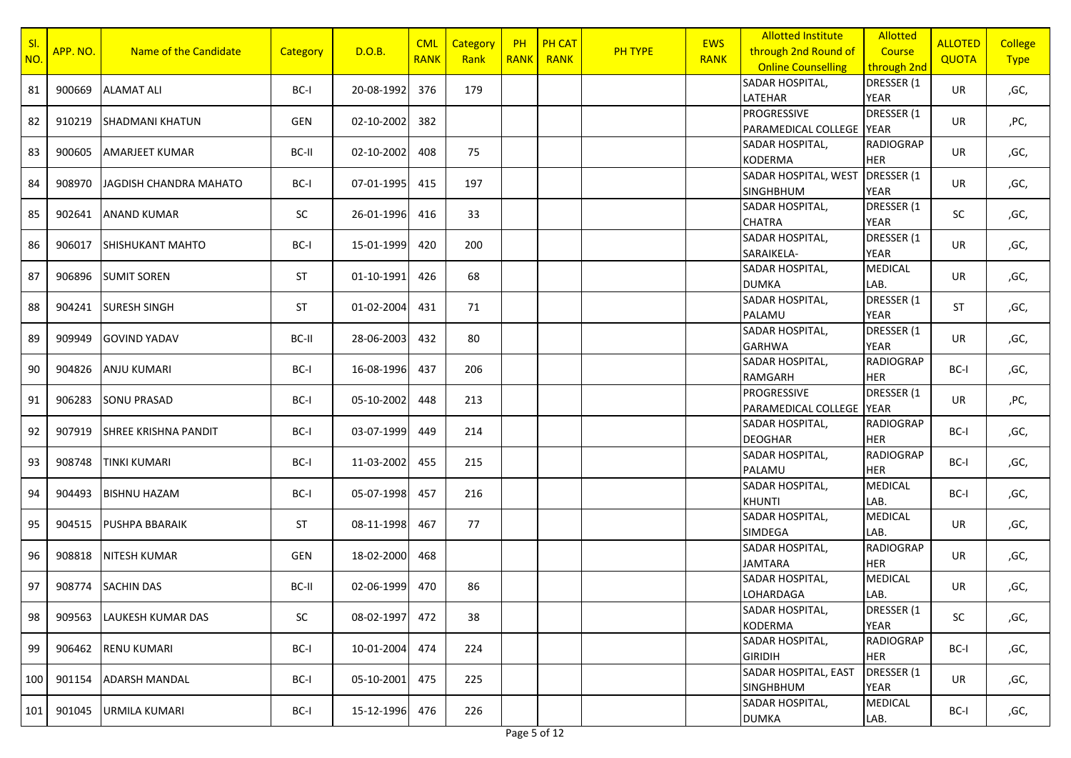| SI.<br>NO. | APP. NO. | Name of the Candidate       | Category  | D.O.B.     | <b>CML</b><br><b>RANK</b> | Category<br>Rank | <b>PH</b><br><b>RANK</b> | <b>PH CAT</b><br><b>RANK</b> | <b>PH TYPE</b> | <b>EWS</b><br><b>RANK</b> | <b>Allotted Institute</b><br>through 2nd Round of<br><b>Online Counselling</b> | <b>Allotted</b><br>Course<br>through 2nd | <b>ALLOTED</b><br><b>QUOTA</b> | <b>College</b><br><b>Type</b> |
|------------|----------|-----------------------------|-----------|------------|---------------------------|------------------|--------------------------|------------------------------|----------------|---------------------------|--------------------------------------------------------------------------------|------------------------------------------|--------------------------------|-------------------------------|
| 81         | 900669   | <b>ALAMAT ALI</b>           | BC-I      | 20-08-1992 | 376                       | 179              |                          |                              |                |                           | SADAR HOSPITAL,<br>LATEHAR                                                     | DRESSER (1<br><b>YEAR</b>                | UR                             | ,GC,                          |
| 82         | 910219   | <b>SHADMANI KHATUN</b>      | GEN       | 02-10-2002 | 382                       |                  |                          |                              |                |                           | PROGRESSIVE<br>PARAMEDICAL COLLEGE YEAR                                        | DRESSER (1                               | UR                             | ,PC,                          |
| 83         | 900605   | <b>AMARJEET KUMAR</b>       | BC-II     | 02-10-2002 | 408                       | 75               |                          |                              |                |                           | SADAR HOSPITAL,<br><b>KODERMA</b>                                              | <b>RADIOGRAP</b><br><b>HER</b>           | <b>UR</b>                      | ,GC,                          |
| 84         | 908970   | JAGDISH CHANDRA MAHATO      | BC-I      | 07-01-1995 | 415                       | 197              |                          |                              |                |                           | SADAR HOSPITAL, WEST<br><b>SINGHBHUM</b>                                       | DRESSER (1<br><b>YEAR</b>                | UR                             | ,GC,                          |
| 85         | 902641   | <b>ANAND KUMAR</b>          | SC        | 26-01-1996 | 416                       | 33               |                          |                              |                |                           | SADAR HOSPITAL,<br><b>CHATRA</b>                                               | DRESSER (1<br><b>YEAR</b>                | SC                             | ,GC,                          |
| 86         | 906017   | <b>SHISHUKANT MAHTO</b>     | BC-I      | 15-01-1999 | 420                       | 200              |                          |                              |                |                           | SADAR HOSPITAL,<br>SARAIKELA-                                                  | DRESSER (1<br><b>YEAR</b>                | UR                             | ,GC,                          |
| 87         | 906896   | <b>SUMIT SOREN</b>          | <b>ST</b> | 01-10-1991 | 426                       | 68               |                          |                              |                |                           | SADAR HOSPITAL,<br><b>DUMKA</b>                                                | <b>MEDICAL</b><br>LAB.                   | UR                             | ,GC,                          |
| 88         | 904241   | <b>SURESH SINGH</b>         | <b>ST</b> | 01-02-2004 | 431                       | 71               |                          |                              |                |                           | SADAR HOSPITAL,<br>PALAMU                                                      | DRESSER (1<br><b>YEAR</b>                | ST                             | ,GC,                          |
| 89         | 909949   | <b>GOVIND YADAV</b>         | BC-II     | 28-06-2003 | 432                       | 80               |                          |                              |                |                           | SADAR HOSPITAL,<br><b>GARHWA</b>                                               | DRESSER (1<br><b>YEAR</b>                | UR                             | ,GC,                          |
| 90         | 904826   | <b>ANJU KUMARI</b>          | BC-I      | 16-08-1996 | 437                       | 206              |                          |                              |                |                           | SADAR HOSPITAL,<br>RAMGARH                                                     | <b>RADIOGRAP</b><br><b>HER</b>           | BC-I                           | ,GC,                          |
| 91         | 906283   | <b>SONU PRASAD</b>          | BC-I      | 05-10-2002 | 448                       | 213              |                          |                              |                |                           | <b>PROGRESSIVE</b><br>PARAMEDICAL COLLEGE YEAR                                 | DRESSER (1                               | <b>UR</b>                      | ,PC,                          |
| 92         | 907919   | <b>SHREE KRISHNA PANDIT</b> | BC-I      | 03-07-1999 | 449                       | 214              |                          |                              |                |                           | SADAR HOSPITAL,<br><b>DEOGHAR</b>                                              | <b>RADIOGRAP</b><br><b>HER</b>           | BC-I                           | ,GC,                          |
| 93         | 908748   | <b>TINKI KUMARI</b>         | BC-I      | 11-03-2002 | 455                       | 215              |                          |                              |                |                           | SADAR HOSPITAL,<br>PALAMU                                                      | <b>RADIOGRAP</b><br><b>HER</b>           | BC-I                           | ,GC,                          |
| 94         | 904493   | <b>BISHNU HAZAM</b>         | BC-I      | 05-07-1998 | 457                       | 216              |                          |                              |                |                           | SADAR HOSPITAL,<br><b>KHUNTI</b>                                               | <b>MEDICAL</b><br>LAB.                   | BC-I                           | ,GC,                          |
| 95         | 904515   | <b>PUSHPA BBARAIK</b>       | <b>ST</b> | 08-11-1998 | 467                       | 77               |                          |                              |                |                           | SADAR HOSPITAL,<br><b>SIMDEGA</b>                                              | <b>MEDICAL</b><br>LAB.                   | <b>UR</b>                      | ,GC,                          |
| 96         | 908818   | <b>NITESH KUMAR</b>         | GEN       | 18-02-2000 | 468                       |                  |                          |                              |                |                           | SADAR HOSPITAL,<br><b>JAMTARA</b>                                              | <b>RADIOGRAP</b><br><b>HER</b>           | <b>UR</b>                      | ,GC,                          |
| 97         | 908774   | <b>SACHIN DAS</b>           | BC-II     | 02-06-1999 | 470                       | 86               |                          |                              |                |                           | SADAR HOSPITAL,<br>LOHARDAGA                                                   | <b>MEDICAL</b><br>LAB.                   | <b>UR</b>                      | ,GC,                          |
| 98         | 909563   | <b>LAUKESH KUMAR DAS</b>    | SC        | 08-02-1997 | 472                       | 38               |                          |                              |                |                           | SADAR HOSPITAL,<br><b>KODERMA</b>                                              | DRESSER (1<br><b>YEAR</b>                | SC                             | ,GC,                          |
| 99         | 906462   | <b>RENU KUMARI</b>          | BC-I      | 10-01-2004 | 474                       | 224              |                          |                              |                |                           | SADAR HOSPITAL,<br><b>GIRIDIH</b>                                              | <b>RADIOGRAP</b><br>HER                  | BC-I                           | ,GC,                          |
| 100        | 901154   | <b>ADARSH MANDAL</b>        | BC-I      | 05-10-2001 | 475                       | 225              |                          |                              |                |                           | SADAR HOSPITAL, EAST<br><b>SINGHBHUM</b>                                       | DRESSER (1<br>YEAR                       | UR                             | ,GC,                          |
| 101        | 901045   | <b>URMILA KUMARI</b>        | BC-I      | 15-12-1996 | 476                       | 226              |                          |                              |                |                           | SADAR HOSPITAL,<br><b>DUMKA</b>                                                | <b>MEDICAL</b><br>LAB.                   | BC-I                           | ,GC,                          |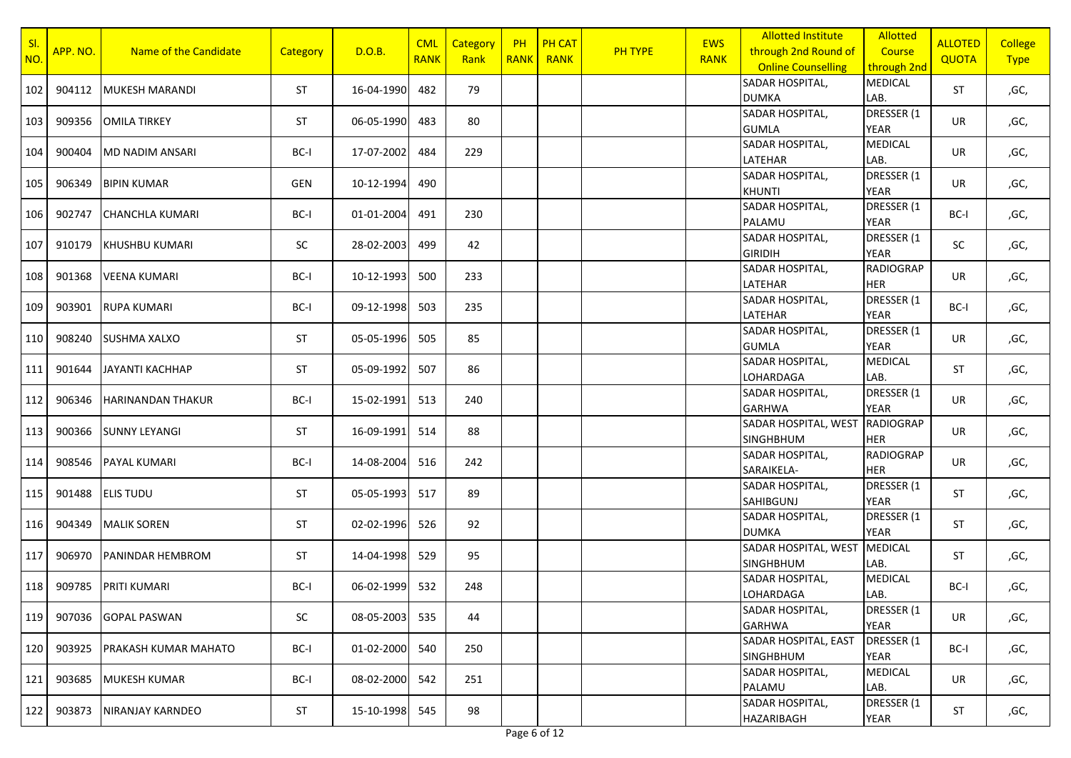| SI<br>NO. | APP. NO. | Name of the Candidate    | <b>Category</b> | D.O.B.     | <b>CML</b><br><b>RANK</b> | Category<br>Rank | PH<br><b>RANK</b> | <b>PH CAT</b><br><b>RANK</b> | PH TYPE | <b>EWS</b><br><b>RANK</b> | <b>Allotted Institute</b><br>through 2nd Round of<br><b>Online Counselling</b> | <b>Allotted</b><br>Course<br>through 2nd | <b>ALLOTED</b><br><b>QUOTA</b> | <b>College</b><br><b>Type</b> |
|-----------|----------|--------------------------|-----------------|------------|---------------------------|------------------|-------------------|------------------------------|---------|---------------------------|--------------------------------------------------------------------------------|------------------------------------------|--------------------------------|-------------------------------|
| 102       | 904112   | <b>MUKESH MARANDI</b>    | <b>ST</b>       | 16-04-1990 | 482                       | 79               |                   |                              |         |                           | SADAR HOSPITAL,<br><b>DUMKA</b>                                                | <b>MEDICAL</b><br>LAB.                   | <b>ST</b>                      | ,GC,                          |
| 103       | 909356   | <b>OMILA TIRKEY</b>      | ST              | 06-05-1990 | 483                       | 80               |                   |                              |         |                           | SADAR HOSPITAL,<br><b>GUMLA</b>                                                | DRESSER (1<br><b>YEAR</b>                | UR                             | ,GC,                          |
| 104       | 900404   | MD NADIM ANSARI          | BC-I            | 17-07-2002 | 484                       | 229              |                   |                              |         |                           | SADAR HOSPITAL,<br>LATEHAR                                                     | <b>MEDICAL</b><br>LAB.                   | UR                             | ,GC,                          |
| 105       | 906349   | <b>BIPIN KUMAR</b>       | GEN             | 10-12-1994 | 490                       |                  |                   |                              |         |                           | SADAR HOSPITAL,<br><b>KHUNTI</b>                                               | DRESSER (1<br><b>YEAR</b>                | UR                             | ,GC,                          |
| 106       | 902747   | <b>CHANCHLA KUMARI</b>   | BC-I            | 01-01-2004 | 491                       | 230              |                   |                              |         |                           | SADAR HOSPITAL,<br>PALAMU                                                      | DRESSER (1<br><b>YEAR</b>                | BC-I                           | ,GC,                          |
| 107       | 910179   | <b>KHUSHBU KUMARI</b>    | SC              | 28-02-2003 | 499                       | 42               |                   |                              |         |                           | SADAR HOSPITAL,<br><b>GIRIDIH</b>                                              | DRESSER (1<br><b>YEAR</b>                | SC                             | ,GC,                          |
| 108       | 901368   | <b>VEENA KUMARI</b>      | BC-I            | 10-12-1993 | 500                       | 233              |                   |                              |         |                           | SADAR HOSPITAL,<br>LATEHAR                                                     | <b>RADIOGRAP</b><br><b>HER</b>           | UR                             | ,GC,                          |
| 109       | 903901   | <b>RUPA KUMARI</b>       | BC-I            | 09-12-1998 | 503                       | 235              |                   |                              |         |                           | SADAR HOSPITAL,<br>LATEHAR                                                     | DRESSER (1<br><b>YEAR</b>                | BC-I                           | ,GC,                          |
| 110       | 908240   | SUSHMA XALXO             | <b>ST</b>       | 05-05-1996 | 505                       | 85               |                   |                              |         |                           | SADAR HOSPITAL,<br><b>GUMLA</b>                                                | DRESSER (1<br><b>YEAR</b>                | UR                             | ,GC,                          |
| 111 I     | 901644   | JAYANTI KACHHAP          | ST              | 05-09-1992 | 507                       | 86               |                   |                              |         |                           | SADAR HOSPITAL,<br>LOHARDAGA                                                   | <b>MEDICAL</b><br>LAB.                   | ST                             | ,GC,                          |
| 112       | 906346   | <b>HARINANDAN THAKUR</b> | BC-I            | 15-02-1991 | 513                       | 240              |                   |                              |         |                           | SADAR HOSPITAL,<br><b>GARHWA</b>                                               | DRESSER (1<br><b>YEAR</b>                | UR                             | ,GC,                          |
| 113       | 900366   | <b>SUNNY LEYANGI</b>     | ST              | 16-09-1991 | 514                       | 88               |                   |                              |         |                           | SADAR HOSPITAL, WEST RADIOGRAP<br><b>SINGHBHUM</b>                             | <b>HER</b>                               | UR                             | ,GC,                          |
| 114       | 908546   | PAYAL KUMARI             | BC-I            | 14-08-2004 | 516                       | 242              |                   |                              |         |                           | SADAR HOSPITAL,<br>SARAIKELA-                                                  | <b>RADIOGRAP</b><br><b>HER</b>           | UR                             | ,GC,                          |
| 115       | 901488   | <b>ELIS TUDU</b>         | ST              | 05-05-1993 | 517                       | 89               |                   |                              |         |                           | SADAR HOSPITAL,<br><b>SAHIBGUNJ</b>                                            | DRESSER (1<br><b>YEAR</b>                | ST                             | ,GC,                          |
| 116       | 904349   | <b>MALIK SOREN</b>       | <b>ST</b>       | 02-02-1996 | 526                       | 92               |                   |                              |         |                           | SADAR HOSPITAL,<br><b>DUMKA</b>                                                | DRESSER (1<br><b>YEAR</b>                | ST                             | ,GC,                          |
| 117       | 906970   | PANINDAR HEMBROM         | <b>ST</b>       | 14-04-1998 | 529                       | 95               |                   |                              |         |                           | SADAR HOSPITAL, WEST<br><b>SINGHBHUM</b>                                       | <b>MEDICAL</b><br>LAB.                   | ST                             | ,GC,                          |
| 118 l     | 909785   | <b>PRITI KUMARI</b>      | BC-I            | 06-02-1999 | 532                       | 248              |                   |                              |         |                           | SADAR HOSPITAL,<br>LOHARDAGA                                                   | <b>MEDICAL</b><br>LAB.                   | BC-I                           | ,GC,                          |
| 119       | 907036   | <b>GOPAL PASWAN</b>      | SC              | 08-05-2003 | 535                       | 44               |                   |                              |         |                           | SADAR HOSPITAL,<br><b>GARHWA</b>                                               | DRESSER (1<br>YEAR                       | UR                             | ,GC,                          |
| 120       | 903925   | PRAKASH KUMAR MAHATO     | BC-I            | 01-02-2000 | 540                       | 250              |                   |                              |         |                           | SADAR HOSPITAL, EAST<br><b>SINGHBHUM</b>                                       | DRESSER (1<br>YEAR                       | BC-I                           | ,GC,                          |
| 121       | 903685   | <b>MUKESH KUMAR</b>      | BC-I            | 08-02-2000 | 542                       | 251              |                   |                              |         |                           | SADAR HOSPITAL,<br>PALAMU                                                      | <b>MEDICAL</b><br>LAB.                   | UR                             | ,GC,                          |
| 122       | 903873   | NIRANJAY KARNDEO         | ST              | 15-10-1998 | 545                       | 98               |                   |                              |         |                           | SADAR HOSPITAL,<br><b>HAZARIBAGH</b>                                           | DRESSER (1<br><b>YEAR</b>                | ST                             | ,GC,                          |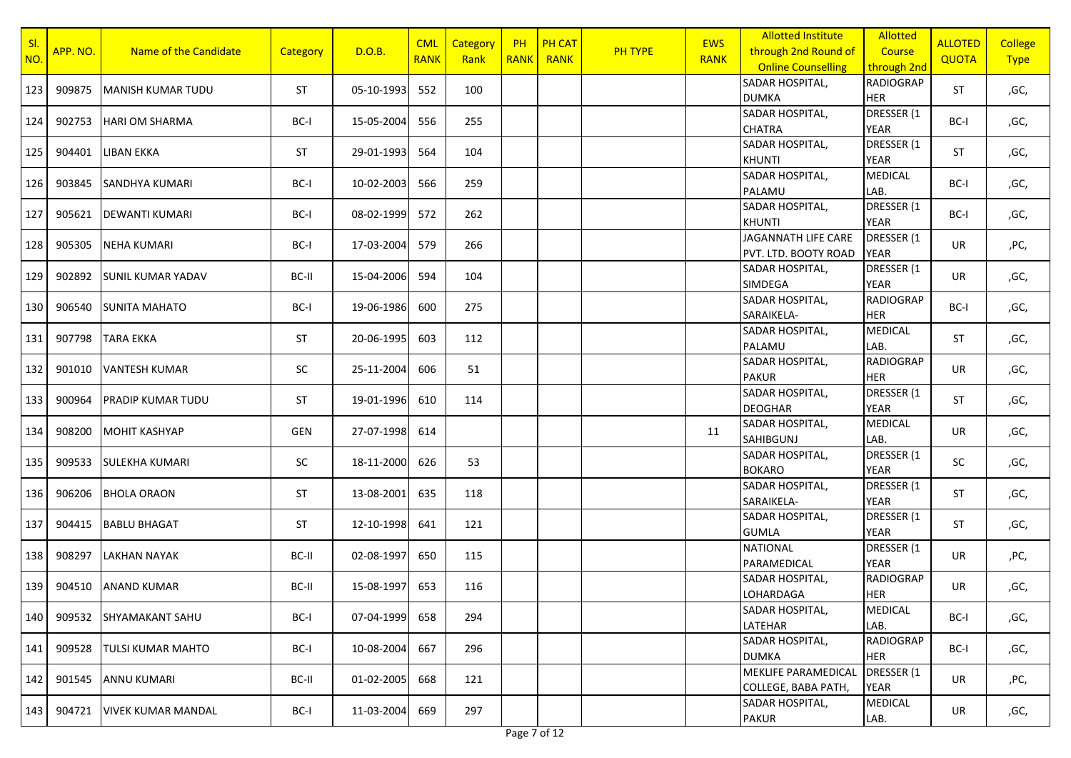| SI<br>NO. | APP. NO. | Name of the Candidate     | <b>Category</b> | D.O.B.     | <b>CML</b><br><b>RANK</b> | Category<br>Rank | <b>PH</b><br><b>RANK</b> | <b>PH CAT</b><br><b>RANK</b> | <b>PH TYPE</b> | <b>EWS</b><br><b>RANK</b> | <b>Allotted Institute</b><br>through 2nd Round of<br><b>Online Counselling</b> | <b>Allotted</b><br>Course<br>through 2nd | <b>ALLOTED</b><br>QUOTA | <b>College</b><br><b>Type</b> |
|-----------|----------|---------------------------|-----------------|------------|---------------------------|------------------|--------------------------|------------------------------|----------------|---------------------------|--------------------------------------------------------------------------------|------------------------------------------|-------------------------|-------------------------------|
| 123       | 909875   | <b>MANISH KUMAR TUDU</b>  | <b>ST</b>       | 05-10-1993 | 552                       | 100              |                          |                              |                |                           | SADAR HOSPITAL,<br><b>DUMKA</b>                                                | <b>RADIOGRAP</b><br><b>HER</b>           | <b>ST</b>               | ,GC,                          |
| 124       | 902753   | <b>HARI OM SHARMA</b>     | BC-I            | 15-05-2004 | 556                       | 255              |                          |                              |                |                           | SADAR HOSPITAL,<br><b>CHATRA</b>                                               | DRESSER (1<br><b>YEAR</b>                | BC-I                    | ,GC,                          |
| 125       | 904401   | LIBAN EKKA                | <b>ST</b>       | 29-01-1993 | 564                       | 104              |                          |                              |                |                           | SADAR HOSPITAL,<br><b>KHUNTI</b>                                               | DRESSER (1<br><b>YEAR</b>                | <b>ST</b>               | ,GC,                          |
| 126       | 903845   | SANDHYA KUMARI            | BC-I            | 10-02-2003 | 566                       | 259              |                          |                              |                |                           | SADAR HOSPITAL,<br>PALAMU                                                      | <b>MEDICAL</b><br>LAB.                   | BC-I                    | ,GC,                          |
| 127       | 905621   | <b>DEWANTI KUMARI</b>     | BC-I            | 08-02-1999 | 572                       | 262              |                          |                              |                |                           | SADAR HOSPITAL,<br><b>KHUNTI</b>                                               | DRESSER (1<br><b>YEAR</b>                | BC-I                    | ,GC,                          |
| 128       | 905305   | <b>NEHA KUMARI</b>        | BC-I            | 17-03-2004 | 579                       | 266              |                          |                              |                |                           | JAGANNATH LIFE CARE<br>PVT. LTD. BOOTY ROAD                                    | DRESSER (1<br><b>YEAR</b>                | <b>UR</b>               | ,PC,                          |
| 129       | 902892   | <b>SUNIL KUMAR YADAV</b>  | BC-II           | 15-04-2006 | 594                       | 104              |                          |                              |                |                           | SADAR HOSPITAL,<br>SIMDEGA                                                     | DRESSER (1<br><b>YEAR</b>                | <b>UR</b>               | ,GC,                          |
| 130       | 906540   | <b>SUNITA MAHATO</b>      | BC-I            | 19-06-1986 | 600                       | 275              |                          |                              |                |                           | SADAR HOSPITAL,<br>SARAIKELA-                                                  | <b>RADIOGRAP</b><br><b>HER</b>           | BC-I                    | ,GC,                          |
| 131       | 907798   | <b>TARA EKKA</b>          | <b>ST</b>       | 20-06-1995 | 603                       | 112              |                          |                              |                |                           | SADAR HOSPITAL,<br>PALAMU                                                      | <b>MEDICAL</b><br>LAB.                   | ST                      | ,GC,                          |
| 132       | 901010   | <b>VANTESH KUMAR</b>      | SC              | 25-11-2004 | 606                       | 51               |                          |                              |                |                           | SADAR HOSPITAL,<br><b>PAKUR</b>                                                | <b>RADIOGRAP</b><br><b>HER</b>           | UR                      | ,GC,                          |
| 133       | 900964   | <b>PRADIP KUMAR TUDU</b>  | <b>ST</b>       | 19-01-1996 | 610                       | 114              |                          |                              |                |                           | SADAR HOSPITAL,<br><b>DEOGHAR</b>                                              | DRESSER (1<br><b>YEAR</b>                | ST                      | ,GC,                          |
| 134       | 908200   | <b>MOHIT KASHYAP</b>      | GEN             | 27-07-1998 | 614                       |                  |                          |                              |                | 11                        | SADAR HOSPITAL,<br>SAHIBGUNJ                                                   | <b>MEDICAL</b><br>LAB.                   | <b>UR</b>               | ,GC,                          |
| 135       | 909533   | <b>SULEKHA KUMARI</b>     | SC              | 18-11-2000 | 626                       | 53               |                          |                              |                |                           | SADAR HOSPITAL,<br><b>BOKARO</b>                                               | DRESSER (1<br><b>YEAR</b>                | SC                      | ,GC,                          |
| 136       | 906206   | <b>BHOLA ORAON</b>        | <b>ST</b>       | 13-08-2001 | 635                       | 118              |                          |                              |                |                           | SADAR HOSPITAL,<br>SARAIKELA-                                                  | DRESSER (1<br><b>YEAR</b>                | <b>ST</b>               | ,GC,                          |
| 137       | 904415   | <b>BABLU BHAGAT</b>       | <b>ST</b>       | 12-10-1998 | 641                       | 121              |                          |                              |                |                           | SADAR HOSPITAL,<br><b>GUMLA</b>                                                | DRESSER (1<br><b>YEAR</b>                | <b>ST</b>               | ,GC,                          |
| 138       | 908297   | <b>LAKHAN NAYAK</b>       | BC-II           | 02-08-1997 | 650                       | 115              |                          |                              |                |                           | <b>NATIONAL</b><br>PARAMEDICAL                                                 | DRESSER (1<br><b>YEAR</b>                | UR                      | ,PC,                          |
| 139       | 904510   | <b>ANAND KUMAR</b>        | BC-II           | 15-08-1997 | 653                       | 116              |                          |                              |                |                           | SADAR HOSPITAL,<br>LOHARDAGA                                                   | <b>RADIOGRAP</b><br><b>HER</b>           | UR                      | ,GC,                          |
| 140       | 909532   | SHYAMAKANT SAHU           | BC-I            | 07-04-1999 | 658                       | 294              |                          |                              |                |                           | SADAR HOSPITAL,<br>LATEHAR                                                     | MEDICAL<br>LAB.                          | BC-I                    | ,GC,                          |
| 141       | 909528   | TULSI KUMAR MAHTO         | BC-I            | 10-08-2004 | 667                       | 296              |                          |                              |                |                           | SADAR HOSPITAL,<br><b>DUMKA</b>                                                | <b>RADIOGRAP</b><br>HER                  | BC-I                    | ,GC,                          |
| 142       | 901545   | ANNU KUMARI               | BC-II           | 01-02-2005 | 668                       | 121              |                          |                              |                |                           | MEKLIFE PARAMEDICAL<br>COLLEGE, BABA PATH,                                     | DRESSER (1<br><b>YEAR</b>                | UR                      | ,PC,                          |
| 143       | 904721   | <b>VIVEK KUMAR MANDAL</b> | BC-I            | 11-03-2004 | 669                       | 297              |                          |                              |                |                           | SADAR HOSPITAL,<br><b>PAKUR</b>                                                | <b>MEDICAL</b><br>LAB.                   | UR                      | ,GC,                          |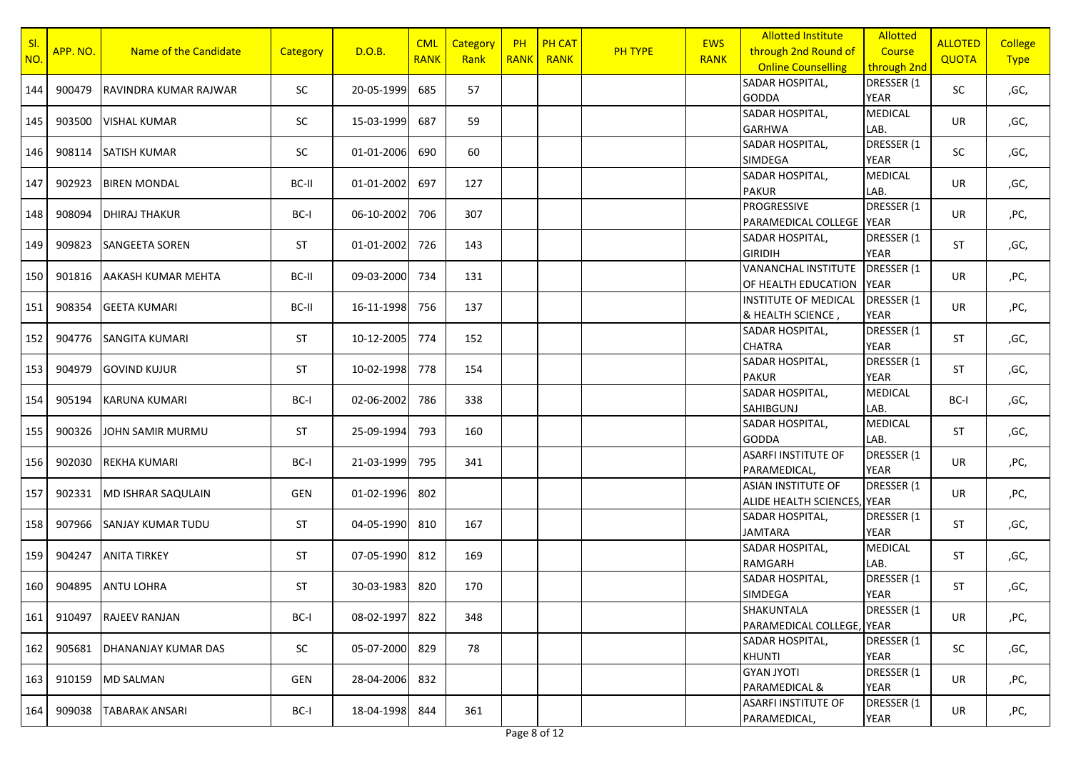| SI<br>NO.        | APP. NO. | Name of the Candidate     | <b>Category</b> | D.O.B.     | <b>CML</b><br><b>RANK</b> | Category<br>Rank | <b>PH</b><br><b>RANK</b> | <b>PH CAT</b><br><b>RANK</b> | <b>PH TYPE</b> | <b>EWS</b><br><b>RANK</b> | <b>Allotted Institute</b><br>through 2nd Round of<br><b>Online Counselling</b> | Allotted<br>Course<br>through 2nd | <b>ALLOTED</b><br><b>QUOTA</b> | <b>College</b><br><b>Type</b> |
|------------------|----------|---------------------------|-----------------|------------|---------------------------|------------------|--------------------------|------------------------------|----------------|---------------------------|--------------------------------------------------------------------------------|-----------------------------------|--------------------------------|-------------------------------|
| 144              | 900479   | RAVINDRA KUMAR RAJWAR     | SC              | 20-05-1999 | 685                       | 57               |                          |                              |                |                           | SADAR HOSPITAL,<br><b>GODDA</b>                                                | DRESSER (1<br><b>YEAR</b>         | SC                             | ,GC,                          |
| 145              | 903500   | <b>VISHAL KUMAR</b>       | SC              | 15-03-1999 | 687                       | 59               |                          |                              |                |                           | SADAR HOSPITAL,<br><b>GARHWA</b>                                               | <b>MEDICAL</b><br>LAB.            | UR                             | ,GC,                          |
| 146              | 908114   | <b>SATISH KUMAR</b>       | SC              | 01-01-2006 | 690                       | 60               |                          |                              |                |                           | SADAR HOSPITAL,<br><b>SIMDEGA</b>                                              | DRESSER (1<br>YEAR                | SC                             | ,GC,                          |
| 147              | 902923   | <b>BIREN MONDAL</b>       | BC-II           | 01-01-2002 | 697                       | 127              |                          |                              |                |                           | SADAR HOSPITAL,<br><b>PAKUR</b>                                                | <b>MEDICAL</b><br>LAB.            | UR                             | ,GC,                          |
| 148              | 908094   | <b>DHIRAJ THAKUR</b>      | BC-I            | 06-10-2002 | 706                       | 307              |                          |                              |                |                           | PROGRESSIVE<br>PARAMEDICAL COLLEGE YEAR                                        | DRESSER (1                        | UR                             | ,PC,                          |
| 149              | 909823   | <b>SANGEETA SOREN</b>     | <b>ST</b>       | 01-01-2002 | 726                       | 143              |                          |                              |                |                           | SADAR HOSPITAL,<br><b>GIRIDIH</b>                                              | DRESSER (1<br><b>YEAR</b>         | <b>ST</b>                      | ,GC,                          |
| 150              | 901816   | AAKASH KUMAR MEHTA        | BC-II           | 09-03-2000 | 734                       | 131              |                          |                              |                |                           | <b>VANANCHAL INSTITUTE</b><br>OF HEALTH EDUCATION                              | DRESSER (1<br><b>YEAR</b>         | UR                             | ,PC,                          |
| 151              | 908354   | <b>GEETA KUMARI</b>       | BC-II           | 16-11-1998 | 756                       | 137              |                          |                              |                |                           | <b>INSTITUTE OF MEDICAL</b><br>& HEALTH SCIENCE,                               | DRESSER (1<br><b>YEAR</b>         | UR                             | ,PC,                          |
| 152              | 904776   | <b>SANGITA KUMARI</b>     | <b>ST</b>       | 10-12-2005 | 774                       | 152              |                          |                              |                |                           | SADAR HOSPITAL,<br><b>CHATRA</b>                                               | DRESSER (1<br><b>YEAR</b>         | ST                             | ,GC,                          |
| 153              | 904979   | <b>GOVIND KUJUR</b>       | <b>ST</b>       | 10-02-1998 | 778                       | 154              |                          |                              |                |                           | SADAR HOSPITAL,<br><b>PAKUR</b>                                                | DRESSER (1<br><b>YEAR</b>         | ST                             | ,GC,                          |
| 154              | 905194   | <b>KARUNA KUMARI</b>      | BC-I            | 02-06-2002 | 786                       | 338              |                          |                              |                |                           | SADAR HOSPITAL,<br><b>SAHIBGUNJ</b>                                            | <b>MEDICAL</b><br>LAB.            | BC-I                           | ,GC,                          |
| 155              | 900326   | JOHN SAMIR MURMU          | <b>ST</b>       | 25-09-1994 | 793                       | 160              |                          |                              |                |                           | SADAR HOSPITAL,<br><b>GODDA</b>                                                | MEDICAL<br>LAB.                   | <b>ST</b>                      | ,GC,                          |
| 156              | 902030   | <b>REKHA KUMARI</b>       | BC-I            | 21-03-1999 | 795                       | 341              |                          |                              |                |                           | <b>ASARFI INSTITUTE OF</b><br>PARAMEDICAL,                                     | DRESSER (1<br><b>YEAR</b>         | UR                             | ,PC,                          |
| 157              | 902331   | <b>MD ISHRAR SAQULAIN</b> | GEN             | 01-02-1996 | 802                       |                  |                          |                              |                |                           | <b>ASIAN INSTITUTE OF</b><br>ALIDE HEALTH SCIENCES, YEAR                       | DRESSER (1                        | UR                             | ,PC,                          |
| 158              | 907966   | <b>SANJAY KUMAR TUDU</b>  | ST              | 04-05-1990 | 810                       | 167              |                          |                              |                |                           | SADAR HOSPITAL,<br><b>JAMTARA</b>                                              | DRESSER (1<br><b>YEAR</b>         | <b>ST</b>                      | ,GC,                          |
| 159              | 904247   | <b>ANITA TIRKEY</b>       | <b>ST</b>       | 07-05-1990 | 812                       | 169              |                          |                              |                |                           | SADAR HOSPITAL,<br><b>RAMGARH</b>                                              | <b>MEDICAL</b><br>LAB.            | <b>ST</b>                      | ,GC,                          |
| 160 <sup>1</sup> | 904895   | <b>ANTU LOHRA</b>         | <b>ST</b>       | 30-03-1983 | 820                       | 170              |                          |                              |                |                           | SADAR HOSPITAL,<br>SIMDEGA                                                     | DRESSER (1<br><b>YEAR</b>         | ST                             | ,GC,                          |
| 161              | 910497   | <b>RAJEEV RANJAN</b>      | BC-I            | 08-02-1997 | 822                       | 348              |                          |                              |                |                           | SHAKUNTALA<br>PARAMEDICAL COLLEGE, YEAR                                        | DRESSER (1                        | UR                             | ,PC,                          |
| 162              | 905681   | DHANANJAY KUMAR DAS       | SC              | 05-07-2000 | 829                       | 78               |                          |                              |                |                           | SADAR HOSPITAL,<br><b>KHUNTI</b>                                               | DRESSER (1<br>YEAR                | SC                             | ,GC,                          |
| 163              | 910159   | <b>MD SALMAN</b>          | GEN             | 28-04-2006 | 832                       |                  |                          |                              |                |                           | <b>GYAN JYOTI</b><br>PARAMEDICAL &                                             | DRESSER (1<br>YEAR                | UR                             | ,PC,                          |
| 164              | 909038   | TABARAK ANSARI            | BC-I            | 18-04-1998 | 844                       | 361              |                          |                              |                |                           | <b>ASARFI INSTITUTE OF</b><br>PARAMEDICAL,                                     | DRESSER (1<br>YEAR                | UR                             | ,PC,                          |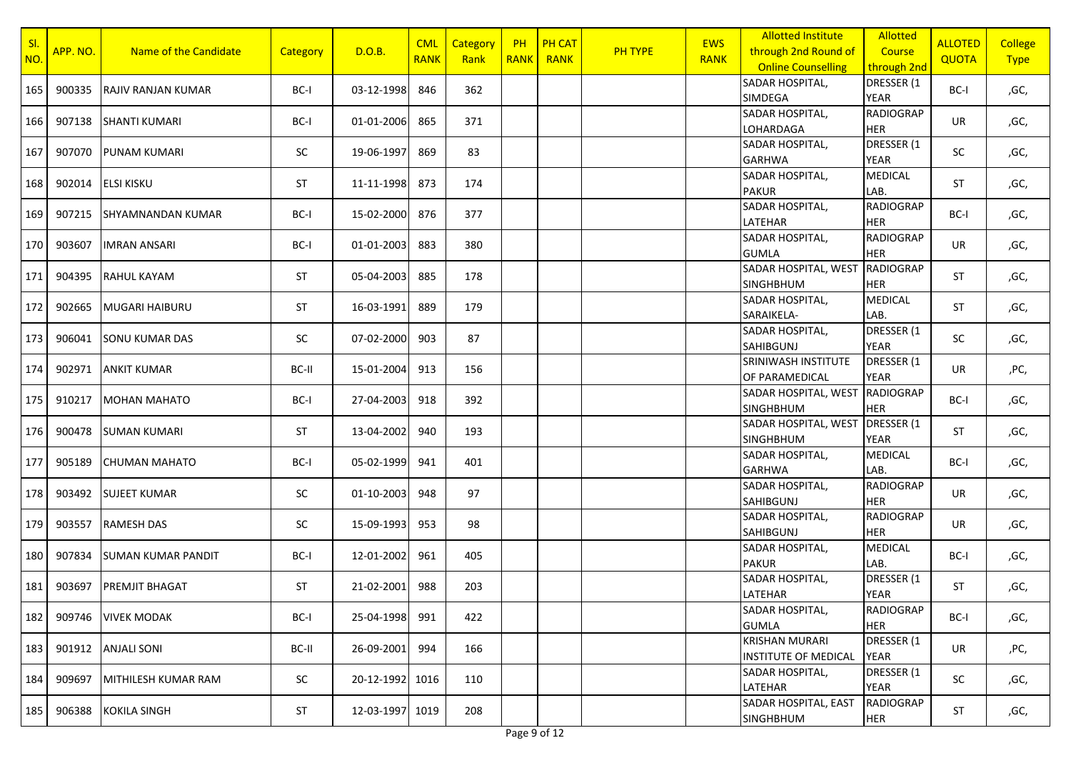| SI<br>NO. | APP. NO. | Name of the Candidate     | <b>Category</b> | D.O.B.          | <b>CML</b><br><b>RANK</b> | Category<br>Rank | <b>PH</b><br><b>RANK</b> | <b>PH CAT</b><br><b>RANK</b> | PH TYPE | <b>EWS</b><br><b>RANK</b> | <b>Allotted Institute</b><br>through 2nd Round of<br><b>Online Counselling</b> | <b>Allotted</b><br>Course<br>through 2nd | <b>ALLOTED</b><br><b>QUOTA</b> | <b>College</b><br><b>Type</b> |
|-----------|----------|---------------------------|-----------------|-----------------|---------------------------|------------------|--------------------------|------------------------------|---------|---------------------------|--------------------------------------------------------------------------------|------------------------------------------|--------------------------------|-------------------------------|
| 165       | 900335   | RAJIV RANJAN KUMAR        | BC-I            | 03-12-1998      | 846                       | 362              |                          |                              |         |                           | SADAR HOSPITAL,<br>SIMDEGA                                                     | DRESSER (1<br><b>YEAR</b>                | BC-I                           | ,GC,                          |
| 166       | 907138   | <b>SHANTI KUMARI</b>      | BC-I            | 01-01-2006      | 865                       | 371              |                          |                              |         |                           | SADAR HOSPITAL,<br>LOHARDAGA                                                   | <b>RADIOGRAP</b><br><b>HER</b>           | UR                             | ,GC,                          |
| 167       | 907070   | PUNAM KUMARI              | SC              | 19-06-1997      | 869                       | 83               |                          |                              |         |                           | SADAR HOSPITAL,<br><b>GARHWA</b>                                               | DRESSER (1<br><b>YEAR</b>                | SC                             | ,GC,                          |
| 168       | 902014   | ELSI KISKU                | <b>ST</b>       | 11-11-1998      | 873                       | 174              |                          |                              |         |                           | SADAR HOSPITAL,<br><b>PAKUR</b>                                                | <b>MEDICAL</b><br>LAB.                   | <b>ST</b>                      | ,GC,                          |
| 169       | 907215   | SHYAMNANDAN KUMAR         | BC-I            | 15-02-2000      | 876                       | 377              |                          |                              |         |                           | SADAR HOSPITAL,<br>LATEHAR                                                     | <b>RADIOGRAP</b><br><b>HER</b>           | BC-I                           | ,GC,                          |
| 170       | 903607   | <b>IMRAN ANSARI</b>       | BC-I            | 01-01-2003      | 883                       | 380              |                          |                              |         |                           | SADAR HOSPITAL,<br><b>GUMLA</b>                                                | <b>RADIOGRAP</b><br><b>HER</b>           | UR                             | ,GC,                          |
| 171       | 904395   | <b>RAHUL KAYAM</b>        | ST              | 05-04-2003      | 885                       | 178              |                          |                              |         |                           | SADAR HOSPITAL, WEST<br><b>SINGHBHUM</b>                                       | <b>RADIOGRAP</b><br><b>HER</b>           | ST                             | ,GC,                          |
| 172       | 902665   | <b>MUGARI HAIBURU</b>     | <b>ST</b>       | 16-03-1991      | 889                       | 179              |                          |                              |         |                           | SADAR HOSPITAL,<br>SARAIKELA-                                                  | <b>MEDICAL</b><br>LAB.                   | <b>ST</b>                      | ,GC,                          |
| 173       | 906041   | <b>SONU KUMAR DAS</b>     | SC              | 07-02-2000      | 903                       | 87               |                          |                              |         |                           | SADAR HOSPITAL,<br><b>SAHIBGUNJ</b>                                            | DRESSER (1<br><b>YEAR</b>                | SC                             | ,GC,                          |
| 174       | 902971   | <b>ANKIT KUMAR</b>        | BC-II           | 15-01-2004      | 913                       | 156              |                          |                              |         |                           | SRINIWASH INSTITUTE<br>OF PARAMEDICAL                                          | DRESSER (1<br><b>YEAR</b>                | UR                             | ,PC,                          |
| 175 I     | 910217   | <b>MOHAN MAHATO</b>       | BC-I            | 27-04-2003      | 918                       | 392              |                          |                              |         |                           | SADAR HOSPITAL, WEST RADIOGRAP<br><b>SINGHBHUM</b>                             | <b>HER</b>                               | BC-I                           | ,GC,                          |
| 176       | 900478   | <b>SUMAN KUMARI</b>       | <b>ST</b>       | 13-04-2002      | 940                       | 193              |                          |                              |         |                           | SADAR HOSPITAL, WEST DRESSER (1<br><b>SINGHBHUM</b>                            | <b>YEAR</b>                              | <b>ST</b>                      | ,GC,                          |
| 177       | 905189   | <b>CHUMAN MAHATO</b>      | BC-I            | 05-02-1999      | 941                       | 401              |                          |                              |         |                           | SADAR HOSPITAL,<br><b>GARHWA</b>                                               | <b>MEDICAL</b><br>LAB.                   | BC-I                           | ,GC,                          |
| 178       | 903492   | <b>SUJEET KUMAR</b>       | SC              | 01-10-2003      | 948                       | 97               |                          |                              |         |                           | SADAR HOSPITAL,<br><b>SAHIBGUNJ</b>                                            | <b>RADIOGRAP</b><br><b>HER</b>           | UR                             | ,GC,                          |
| 179       | 903557   | <b>RAMESH DAS</b>         | SC              | 15-09-1993      | 953                       | 98               |                          |                              |         |                           | SADAR HOSPITAL,<br><b>SAHIBGUNJ</b>                                            | <b>RADIOGRAP</b><br><b>HER</b>           | UR                             | ,GC,                          |
| 180       | 907834   | <b>SUMAN KUMAR PANDIT</b> | BC-I            | 12-01-2002      | 961                       | 405              |                          |                              |         |                           | SADAR HOSPITAL,<br><b>PAKUR</b>                                                | <b>MEDICAL</b><br>LAB.                   | BC-I                           | ,GC,                          |
| 181 l     | 903697   | <b>PREMJIT BHAGAT</b>     | <b>ST</b>       | 21-02-2001      | 988                       | 203              |                          |                              |         |                           | SADAR HOSPITAL,<br>LATEHAR                                                     | DRESSER (1<br>YEAR                       | ST                             | ,GC,                          |
| 182       | 909746   | <b>VIVEK MODAK</b>        | BC-I            | 25-04-1998      | 991                       | 422              |                          |                              |         |                           | SADAR HOSPITAL,<br><b>GUMLA</b>                                                | <b>RADIOGRAP</b><br><b>HER</b>           | BC-I                           | ,GC,                          |
| 183       | 901912   | <b>ANJALI SONI</b>        | BC-II           | 26-09-2001      | 994                       | 166              |                          |                              |         |                           | <b>KRISHAN MURARI</b><br><b>INSTITUTE OF MEDICAL</b>                           | DRESSER (1<br>YEAR                       | UR                             | ,PC,                          |
| 184       | 909697   | MITHILESH KUMAR RAM       | SC              | 20-12-1992 1016 |                           | 110              |                          |                              |         |                           | <b>SADAR HOSPITAL.</b><br>LATEHAR                                              | DRESSER (1<br>YEAR                       | SC                             | ,GC,                          |
| 185       | 906388   | <b>KOKILA SINGH</b>       | ST              | 12-03-1997 1019 |                           | 208              |                          |                              |         |                           | SADAR HOSPITAL, EAST<br><b>SINGHBHUM</b>                                       | <b>RADIOGRAP</b><br><b>HER</b>           | <b>ST</b>                      | ,GC,                          |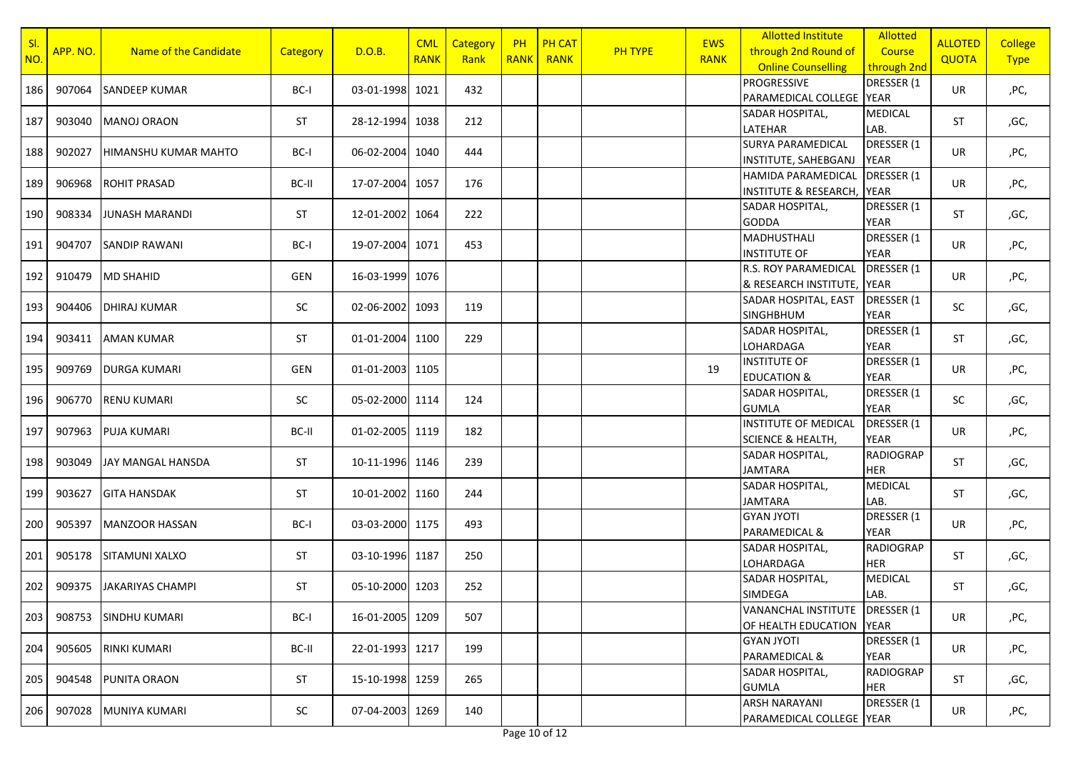| SI<br>NO. | APP. NO. | Name of the Candidate | <b>Category</b> | D.O.B.          | <b>CML</b><br><b>RANK</b> | Category<br>Rank | <b>PH</b><br><b>RANK</b> | <b>PH CAT</b><br><b>RANK</b> | PH TYPE | <b>EWS</b><br><b>RANK</b> | <b>Allotted Institute</b><br>through 2nd Round of<br><b>Online Counselling</b> | <b>Allotted</b><br>Course<br>through 2nd | <b>ALLOTED</b><br><b>QUOTA</b> | <b>College</b><br><b>Type</b> |
|-----------|----------|-----------------------|-----------------|-----------------|---------------------------|------------------|--------------------------|------------------------------|---------|---------------------------|--------------------------------------------------------------------------------|------------------------------------------|--------------------------------|-------------------------------|
| 186       | 907064   | <b>SANDEEP KUMAR</b>  | BC-I            | 03-01-1998 1021 |                           | 432              |                          |                              |         |                           | <b>PROGRESSIVE</b><br>PARAMEDICAL COLLEGE YEAR                                 | DRESSER (1                               | UR                             | ,PC,                          |
| 187       | 903040   | <b>MANOJ ORAON</b>    | <b>ST</b>       | 28-12-1994 1038 |                           | 212              |                          |                              |         |                           | SADAR HOSPITAL,<br>LATEHAR                                                     | <b>MEDICAL</b><br>LAB.                   | <b>ST</b>                      | ,GC,                          |
| 188       | 902027   | HIMANSHU KUMAR MAHTO  | BC-I            | 06-02-2004 1040 |                           | 444              |                          |                              |         |                           | SURYA PARAMEDICAL<br>INSTITUTE, SAHEBGANJ                                      | DRESSER (1<br><b>YEAR</b>                | UR                             | ,PC,                          |
| 189       | 906968   | <b>ROHIT PRASAD</b>   | BC-II           | 17-07-2004 1057 |                           | 176              |                          |                              |         |                           | HAMIDA PARAMEDICAL<br><b>INSTITUTE &amp; RESEARCH, YEAR</b>                    | DRESSER (1                               | UR                             | ,PC,                          |
| 190       | 908334   | <b>JUNASH MARANDI</b> | <b>ST</b>       | 12-01-2002 1064 |                           | 222              |                          |                              |         |                           | SADAR HOSPITAL,<br><b>GODDA</b>                                                | DRESSER (1<br><b>YEAR</b>                | <b>ST</b>                      | ,GC,                          |
| 191       | 904707   | <b>SANDIP RAWANI</b>  | BC-I            | 19-07-2004 1071 |                           | 453              |                          |                              |         |                           | <b>MADHUSTHALI</b><br><b>INSTITUTE OF</b>                                      | DRESSER (1<br><b>YEAR</b>                | UR                             | ,PC,                          |
| 192       | 910479   | <b>MD SHAHID</b>      | GEN             | 16-03-1999 1076 |                           |                  |                          |                              |         |                           | R.S. ROY PARAMEDICAL<br>& RESEARCH INSTITUTE, YEAR                             | DRESSER (1                               | UR                             | ,PC,                          |
| 193       | 904406   | <b>DHIRAJ KUMAR</b>   | SC              | 02-06-2002 1093 |                           | 119              |                          |                              |         |                           | SADAR HOSPITAL, EAST<br><b>SINGHBHUM</b>                                       | DRESSER (1<br><b>YEAR</b>                | SC                             | ,GC,                          |
| 194       | 903411   | <b>AMAN KUMAR</b>     | <b>ST</b>       | 01-01-2004 1100 |                           | 229              |                          |                              |         |                           | SADAR HOSPITAL,<br>LOHARDAGA                                                   | DRESSER (1<br><b>YEAR</b>                | ST                             | ,GC,                          |
| 195       | 909769   | <b>DURGA KUMARI</b>   | GEN             | 01-01-2003 1105 |                           |                  |                          |                              |         | 19                        | <b>INSTITUTE OF</b><br><b>EDUCATION &amp;</b>                                  | DRESSER (1<br><b>YEAR</b>                | UR                             | ,PC,                          |
| 196       | 906770   | <b>RENU KUMARI</b>    | SC              | 05-02-2000 1114 |                           | 124              |                          |                              |         |                           | SADAR HOSPITAL,<br><b>GUMLA</b>                                                | DRESSER (1<br><b>YEAR</b>                | SC                             | ,GC,                          |
| 197       | 907963   | <b>PUJA KUMARI</b>    | BC-II           | 01-02-2005 1119 |                           | 182              |                          |                              |         |                           | <b>INSTITUTE OF MEDICAL</b><br><b>SCIENCE &amp; HEALTH,</b>                    | DRESSER (1<br><b>YEAR</b>                | UR                             | ,PC,                          |
| 198       | 903049   | JAY MANGAL HANSDA     | <b>ST</b>       | 10-11-1996 1146 |                           | 239              |                          |                              |         |                           | SADAR HOSPITAL,<br><b>JAMTARA</b>                                              | <b>RADIOGRAP</b><br><b>HER</b>           | <b>ST</b>                      | ,GC,                          |
| 199       | 903627   | <b>GITA HANSDAK</b>   | ST              | 10-01-2002 1160 |                           | 244              |                          |                              |         |                           | SADAR HOSPITAL,<br><b>JAMTARA</b>                                              | <b>MEDICAL</b><br>LAB.                   | ST                             | ,GC,                          |
| 200       | 905397   | <b>MANZOOR HASSAN</b> | BC-I            | 03-03-2000 1175 |                           | 493              |                          |                              |         |                           | <b>GYAN JYOTI</b><br>PARAMEDICAL &                                             | DRESSER (1<br><b>YEAR</b>                | UR                             | ,PC,                          |
| 201       | 905178   | SITAMUNI XALXO        | ST              | 03-10-1996 1187 |                           | 250              |                          |                              |         |                           | SADAR HOSPITAL,<br>LOHARDAGA                                                   | <b>RADIOGRAP</b><br><b>HER</b>           | <b>ST</b>                      | ,GC,                          |
| 202       | 909375   | JAKARIYAS CHAMPI      | ST              | 05-10-2000 1203 |                           | 252              |                          |                              |         |                           | SADAR HOSPITAL,<br>SIMDEGA                                                     | <b>MEDICAL</b><br>LAB.                   | <b>ST</b>                      | ,GC,                          |
| 203       | 908753   | SINDHU KUMARI         | BC-I            | 16-01-2005 1209 |                           | 507              |                          |                              |         |                           | VANANCHAL INSTITUTE<br>OF HEALTH EDUCATION YEAR                                | DRESSER (1                               | UR                             | ,PC,                          |
| 204       | 905605   | RINKI KUMARI          | BC-II           | 22-01-1993 1217 |                           | 199              |                          |                              |         |                           | <b>GYAN JYOTI</b><br>PARAMEDICAL &                                             | DRESSER (1<br>YEAR                       | UR                             | ,PC,                          |
| 205       | 904548   | PUNITA ORAON          | <b>ST</b>       | 15-10-1998 1259 |                           | 265              |                          |                              |         |                           | SADAR HOSPITAL,<br><b>GUMLA</b>                                                | <b>RADIOGRAP</b><br><b>HER</b>           | <b>ST</b>                      | ,GC,                          |
| 206       | 907028   | MUNIYA KUMARI         | SC              | 07-04-2003 1269 |                           | 140              |                          |                              |         |                           | <b>ARSH NARAYANI</b><br>PARAMEDICAL COLLEGE YEAR                               | DRESSER (1                               | UR                             | ,PC,                          |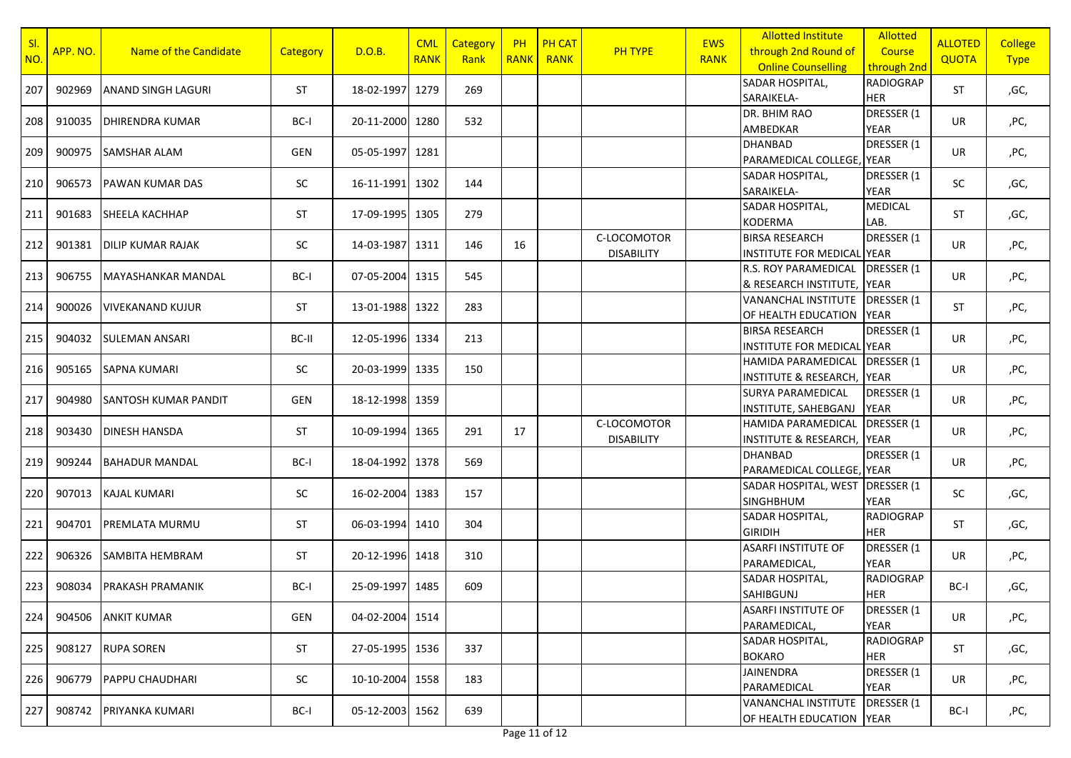| SI<br>NO. | APP. NO. | Name of the Candidate       | <b>Category</b> | D.O.B.          | <b>CML</b><br><b>RANK</b> | <b>Category</b><br>Rank | <b>PH</b><br><b>RANK</b> | <b>PH CAT</b><br><b>RANK</b> | <b>PH TYPE</b>                   | <b>EWS</b><br><b>RANK</b> | <b>Allotted Institute</b><br>through 2nd Round of<br><b>Online Counselling</b> | Allotted<br>Course<br>through 2nd | <b>ALLOTED</b><br><b>QUOTA</b> | <b>College</b><br><b>Type</b> |
|-----------|----------|-----------------------------|-----------------|-----------------|---------------------------|-------------------------|--------------------------|------------------------------|----------------------------------|---------------------------|--------------------------------------------------------------------------------|-----------------------------------|--------------------------------|-------------------------------|
| 207       | 902969   | <b>ANAND SINGH LAGURI</b>   | <b>ST</b>       | 18-02-1997      | 1279                      | 269                     |                          |                              |                                  |                           | SADAR HOSPITAL,<br>SARAIKELA-                                                  | <b>RADIOGRAP</b><br><b>HER</b>    | <b>ST</b>                      | ,GC,                          |
| 208       | 910035   | <b>DHIRENDRA KUMAR</b>      | BC-I            | 20-11-2000      | 1280                      | 532                     |                          |                              |                                  |                           | DR. BHIM RAO<br>AMBEDKAR                                                       | DRESSER (1<br><b>YEAR</b>         | UR                             | ,PC,                          |
| 209       | 900975   | <b>SAMSHAR ALAM</b>         | GEN             | 05-05-1997      | 1281                      |                         |                          |                              |                                  |                           | <b>DHANBAD</b><br>PARAMEDICAL COLLEGE, YEAR                                    | DRESSER (1                        | UR                             | ,PC,                          |
| 210       | 906573   | <b>PAWAN KUMAR DAS</b>      | SC              | 16-11-1991      | 1302                      | 144                     |                          |                              |                                  |                           | <b>SADAR HOSPITAL,</b><br>SARAIKELA-                                           | DRESSER (1<br><b>YEAR</b>         | SC                             | ,GC,                          |
| 211       | 901683   | <b>SHEELA KACHHAP</b>       | ST              | 17-09-1995      | 1305                      | 279                     |                          |                              |                                  |                           | SADAR HOSPITAL,<br><b>KODERMA</b>                                              | <b>MEDICAL</b><br>LAB.            | <b>ST</b>                      | ,GC,                          |
| 212       | 901381   | <b>DILIP KUMAR RAJAK</b>    | SC              | 14-03-1987      | 1311                      | 146                     | 16                       |                              | C-LOCOMOTOR<br><b>DISABILITY</b> |                           | <b>BIRSA RESEARCH</b><br><b>INSTITUTE FOR MEDICAL YEAR</b>                     | DRESSER (1                        | UR                             | ,PC,                          |
| 213       | 906755   | MAYASHANKAR MANDAL          | BC-I            | 07-05-2004      | 1315                      | 545                     |                          |                              |                                  |                           | R.S. ROY PARAMEDICAL<br>& RESEARCH INSTITUTE, YEAR                             | DRESSER (1                        | UR                             | ,PC,                          |
| 214       | 900026   | <b>VIVEKANAND KUJUR</b>     | <b>ST</b>       | 13-01-1988      | 1322                      | 283                     |                          |                              |                                  |                           | <b>VANANCHAL INSTITUTE</b><br>OF HEALTH EDUCATION                              | DRESSER (1<br><b>YEAR</b>         | <b>ST</b>                      | ,PC,                          |
| 215       | 904032   | <b>SULEMAN ANSARI</b>       | BC-II           | 12-05-1996      | 1334                      | 213                     |                          |                              |                                  |                           | <b>BIRSA RESEARCH</b><br>INSTITUTE FOR MEDICAL YEAR                            | DRESSER (1                        | UR                             | ,PC,                          |
| 216       | 905165   | <b>SAPNA KUMARI</b>         | SC              | 20-03-1999      | 1335                      | 150                     |                          |                              |                                  |                           | <b>HAMIDA PARAMEDICAL</b><br><b>INSTITUTE &amp; RESEARCH, YEAR</b>             | DRESSER (1                        | UR                             | ,PC,                          |
| 217       | 904980   | <b>SANTOSH KUMAR PANDIT</b> | GEN             | 18-12-1998 1359 |                           |                         |                          |                              |                                  |                           | <b>SURYA PARAMEDICAL</b><br>INSTITUTE, SAHEBGANJ                               | DRESSER (1<br><b>YEAR</b>         | UR                             | ,PC,                          |
| 218       | 903430   | <b>DINESH HANSDA</b>        | ST              | 10-09-1994 1365 |                           | 291                     | 17                       |                              | C-LOCOMOTOR<br><b>DISABILITY</b> |                           | <b>HAMIDA PARAMEDICAL</b><br><b>INSTITUTE &amp; RESEARCH,</b>                  | DRESSER (1<br><b>YEAR</b>         | UR                             | ,PC,                          |
| 219       | 909244   | <b>BAHADUR MANDAL</b>       | BC-I            | 18-04-1992 1378 |                           | 569                     |                          |                              |                                  |                           | <b>DHANBAD</b><br>PARAMEDICAL COLLEGE, YEAR                                    | DRESSER (1                        | UR                             | ,PC,                          |
| 220       | 907013   | <b>KAJAL KUMARI</b>         | SC              | 16-02-2004      | 1383                      | 157                     |                          |                              |                                  |                           | SADAR HOSPITAL, WEST   DRESSER (1<br><b>SINGHBHUM</b>                          | <b>YEAR</b>                       | SC                             | ,GC,                          |
| 221       | 904701   | PREMLATA MURMU              | <b>ST</b>       | 06-03-1994      | 1410                      | 304                     |                          |                              |                                  |                           | SADAR HOSPITAL,<br><b>GIRIDIH</b>                                              | <b>RADIOGRAP</b><br><b>HER</b>    | ST                             | ,GC,                          |
| 222       | 906326   | SAMBITA HEMBRAM             | <b>ST</b>       | 20-12-1996      | 1418                      | 310                     |                          |                              |                                  |                           | <b>ASARFI INSTITUTE OF</b><br>PARAMEDICAL,                                     | DRESSER (1<br><b>YEAR</b>         | UR                             | ,PC,                          |
| 223       | 908034   | <b>PRAKASH PRAMANIK</b>     | BC-I            | 25-09-1997 1485 |                           | 609                     |                          |                              |                                  |                           | SADAR HOSPITAL,<br>SAHIBGUNJ                                                   | <b>RADIOGRAP</b><br><b>HER</b>    | BC-I                           | ,GC,                          |
| 224       | 904506   | <b>ANKIT KUMAR</b>          | GEN             | 04-02-2004 1514 |                           |                         |                          |                              |                                  |                           | <b>ASARFI INSTITUTE OF</b><br>PARAMEDICAL,                                     | DRESSER (1<br>YEAR                | UR                             | ,PC,                          |
| 225       | 908127   | <b>RUPA SOREN</b>           | ST              | 27-05-1995 1536 |                           | 337                     |                          |                              |                                  |                           | <b>SADAR HOSPITAL,</b><br><b>BOKARO</b>                                        | <b>RADIOGRAP</b><br><b>HER</b>    | ST                             | ,GC,                          |
| 226       | 906779   | PAPPU CHAUDHARI             | SC              | 10-10-2004      | 1558                      | 183                     |                          |                              |                                  |                           | <b>JAINENDRA</b><br>PARAMEDICAL                                                | DRESSER (1<br><b>YEAR</b>         | UR                             | ,PC,                          |
| 227       | 908742   | PRIYANKA KUMARI             | BC-I            | 05-12-2003      | 1562                      | 639                     |                          |                              |                                  |                           | <b>VANANCHAL INSTITUTE</b><br>OF HEALTH EDUCATION YEAR                         | DRESSER (1                        | BC-I                           | ,PC,                          |